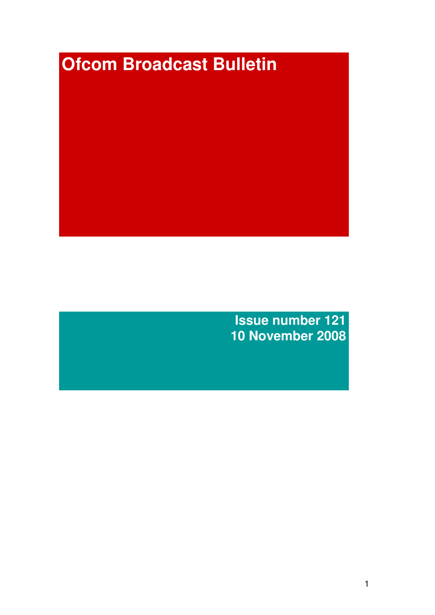# **Ofcom Broadcast Bulletin**

**Issue number 121 10 November 2008**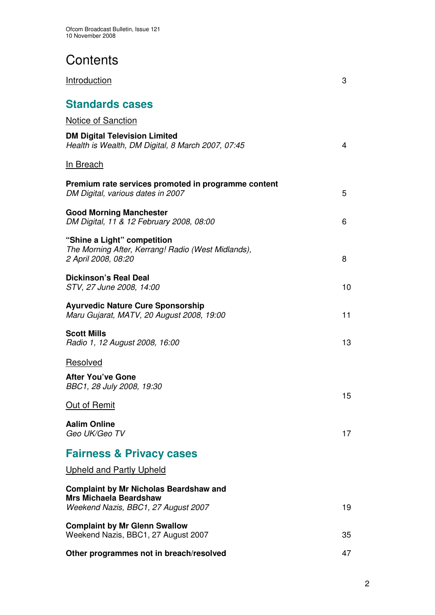# **Contents**

| Introduction                                                                                                          | 3  |
|-----------------------------------------------------------------------------------------------------------------------|----|
| <b>Standards cases</b>                                                                                                |    |
| <b>Notice of Sanction</b>                                                                                             |    |
| <b>DM Digital Television Limited</b><br>Health is Wealth, DM Digital, 8 March 2007, 07:45                             | 4  |
| <b>In Breach</b>                                                                                                      |    |
| Premium rate services promoted in programme content<br>DM Digital, various dates in 2007                              | 5  |
| <b>Good Morning Manchester</b><br>DM Digital, 11 & 12 February 2008, 08:00                                            | 6  |
| "Shine a Light" competition<br>The Morning After, Kerrang! Radio (West Midlands),<br>2 April 2008, 08:20              | 8  |
| <b>Dickinson's Real Deal</b><br>STV, 27 June 2008, 14:00                                                              | 10 |
| <b>Ayurvedic Nature Cure Sponsorship</b><br>Maru Gujarat, MATV, 20 August 2008, 19:00                                 | 11 |
| <b>Scott Mills</b><br>Radio 1, 12 August 2008, 16:00                                                                  | 13 |
| Resolved                                                                                                              |    |
| <b>After You've Gone</b><br>BBC1, 28 July 2008, 19:30                                                                 |    |
| Out of Remit                                                                                                          | 15 |
| <b>Aalim Online</b><br>Geo UK/Geo TV                                                                                  | 17 |
| <b>Fairness &amp; Privacy cases</b>                                                                                   |    |
| <b>Upheld and Partly Upheld</b>                                                                                       |    |
| <b>Complaint by Mr Nicholas Beardshaw and</b><br><b>Mrs Michaela Beardshaw</b><br>Weekend Nazis, BBC1, 27 August 2007 | 19 |
| <b>Complaint by Mr Glenn Swallow</b><br>Weekend Nazis, BBC1, 27 August 2007                                           | 35 |
| Other programmes not in breach/resolved                                                                               | 47 |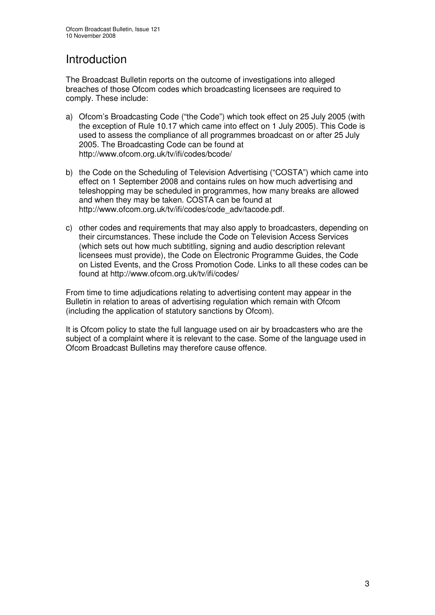# Introduction

The Broadcast Bulletin reports on the outcome of investigations into alleged breaches of those Ofcom codes which broadcasting licensees are required to comply. These include:

- a) Ofcom's Broadcasting Code ("the Code") which took effect on 25 July 2005 (with the exception of Rule 10.17 which came into effect on 1 July 2005). This Code is used to assess the compliance of all programmes broadcast on or after 25 July 2005. The Broadcasting Code can be found at http://www.ofcom.org.uk/tv/ifi/codes/bcode/
- b) the Code on the Scheduling of Television Advertising ("COSTA") which came into effect on 1 September 2008 and contains rules on how much advertising and teleshopping may be scheduled in programmes, how many breaks are allowed and when they may be taken. COSTA can be found at http://www.ofcom.org.uk/tv/ifi/codes/code\_adv/tacode.pdf.
- c) other codes and requirements that may also apply to broadcasters, depending on their circumstances. These include the Code on Television Access Services (which sets out how much subtitling, signing and audio description relevant licensees must provide), the Code on Electronic Programme Guides, the Code on Listed Events, and the Cross Promotion Code. Links to all these codes can be found at http://www.ofcom.org.uk/tv/ifi/codes/

From time to time adjudications relating to advertising content may appear in the Bulletin in relation to areas of advertising regulation which remain with Ofcom (including the application of statutory sanctions by Ofcom).

It is Ofcom policy to state the full language used on air by broadcasters who are the subject of a complaint where it is relevant to the case. Some of the language used in Ofcom Broadcast Bulletins may therefore cause offence.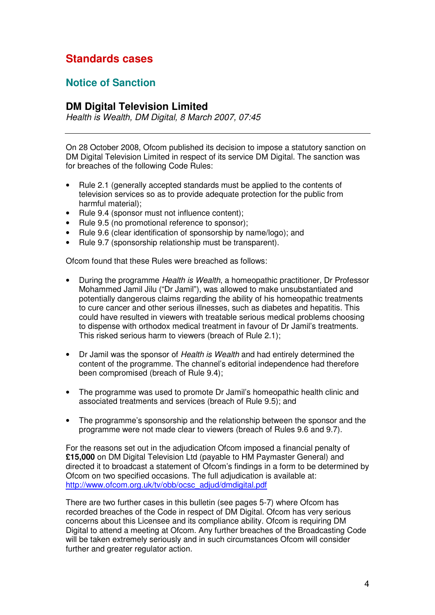# **Standards cases**

# **Notice of Sanction**

# **DM Digital Television Limited**

*Health is Wealth, DM Digital, 8 March 2007, 07:45*

On 28 October 2008, Ofcom published its decision to impose a statutory sanction on DM Digital Television Limited in respect of its service DM Digital. The sanction was for breaches of the following Code Rules:

- Rule 2.1 (generally accepted standards must be applied to the contents of television services so as to provide adequate protection for the public from harmful material);
- Rule 9.4 (sponsor must not influence content);
- Rule 9.5 (no promotional reference to sponsor);
- Rule 9.6 (clear identification of sponsorship by name/logo); and
- Rule 9.7 (sponsorship relationship must be transparent).

Ofcom found that these Rules were breached as follows:

- During the programme *Health is Wealth*, a homeopathic practitioner, Dr Professor Mohammed Jamil Jilu ("Dr Jamil"), was allowed to make unsubstantiated and potentially dangerous claims regarding the ability of his homeopathic treatments to cure cancer and other serious illnesses, such as diabetes and hepatitis. This could have resulted in viewers with treatable serious medical problems choosing to dispense with orthodox medical treatment in favour of Dr Jamil's treatments. This risked serious harm to viewers (breach of Rule 2.1);
- Dr Jamil was the sponsor of *Health is Wealth* and had entirely determined the content of the programme. The channel's editorial independence had therefore been compromised (breach of Rule 9.4);
- The programme was used to promote Dr Jamil's homeopathic health clinic and associated treatments and services (breach of Rule 9.5); and
- The programme's sponsorship and the relationship between the sponsor and the programme were not made clear to viewers (breach of Rules 9.6 and 9.7).

For the reasons set out in the adjudication Ofcom imposed a financial penalty of **£15,000** on DM Digital Television Ltd (payable to HM Paymaster General) and directed it to broadcast a statement of Ofcom's findings in a form to be determined by Ofcom on two specified occasions. The full adjudication is available at: http://www.ofcom.org.uk/tv/obb/ocsc\_adjud/dmdigital.pdf

There are two further cases in this bulletin (see pages 5-7) where Ofcom has recorded breaches of the Code in respect of DM Digital. Ofcom has very serious concerns about this Licensee and its compliance ability. Ofcom is requiring DM Digital to attend a meeting at Ofcom. Any further breaches of the Broadcasting Code will be taken extremely seriously and in such circumstances Ofcom will consider further and greater regulator action.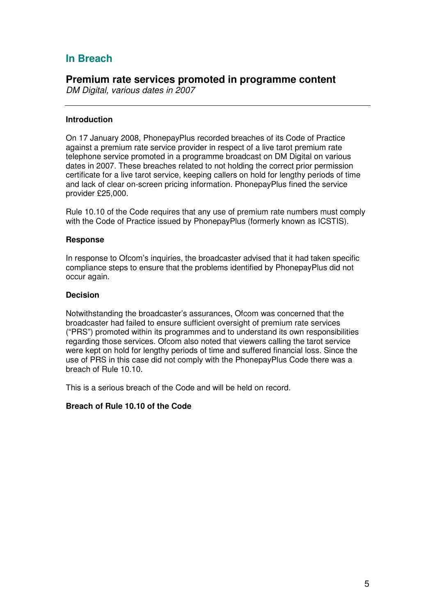# **In Breach**

# **Premium rate services promoted in programme content**

*DM Digital, various dates in 2007*

### **Introduction**

On 17 January 2008, PhonepayPlus recorded breaches of its Code of Practice against a premium rate service provider in respect of a live tarot premium rate telephone service promoted in a programme broadcast on DM Digital on various dates in 2007. These breaches related to not holding the correct prior permission certificate for a live tarot service, keeping callers on hold for lengthy periods of time and lack of clear on-screen pricing information. PhonepayPlus fined the service provider £25,000.

Rule 10.10 of the Code requires that any use of premium rate numbers must comply with the Code of Practice issued by PhonepayPlus (formerly known as ICSTIS).

### **Response**

In response to Ofcom's inquiries, the broadcaster advised that it had taken specific compliance steps to ensure that the problems identified by PhonepayPlus did not occur again.

### **Decision**

Notwithstanding the broadcaster's assurances, Ofcom was concerned that the broadcaster had failed to ensure sufficient oversight of premium rate services ("PRS") promoted within its programmes and to understand its own responsibilities regarding those services. Ofcom also noted that viewers calling the tarot service were kept on hold for lengthy periods of time and suffered financial loss. Since the use of PRS in this case did not comply with the PhonepayPlus Code there was a breach of Rule 10.10.

This is a serious breach of the Code and will be held on record.

### **Breach of Rule 10.10 of the Code**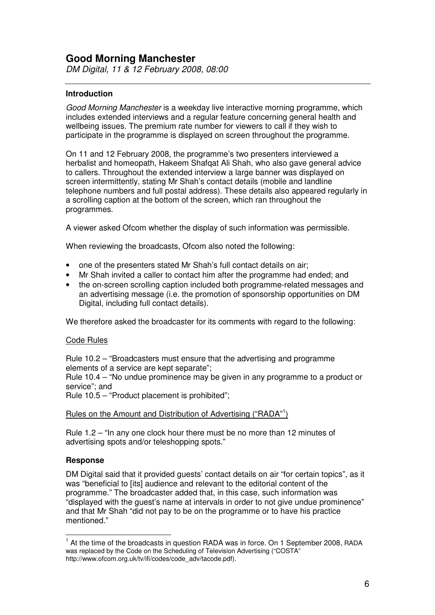# **Good Morning Manchester**

*DM Digital, 11 & 12 February 2008, 08:00*

### **Introduction**

*Good Morning Manchester* is a weekday live interactive morning programme, which includes extended interviews and a regular feature concerning general health and wellbeing issues. The premium rate number for viewers to call if they wish to participate in the programme is displayed on screen throughout the programme.

On 11 and 12 February 2008, the programme's two presenters interviewed a herbalist and homeopath, Hakeem Shafqat Ali Shah, who also gave general advice to callers. Throughout the extended interview a large banner was displayed on screen intermittently, stating Mr Shah's contact details (mobile and landline telephone numbers and full postal address). These details also appeared regularly in a scrolling caption at the bottom of the screen, which ran throughout the programmes.

A viewer asked Ofcom whether the display of such information was permissible.

When reviewing the broadcasts, Ofcom also noted the following:

- one of the presenters stated Mr Shah's full contact details on air;
- Mr Shah invited a caller to contact him after the programme had ended; and
- the on-screen scrolling caption included both programme-related messages and an advertising message (i.e. the promotion of sponsorship opportunities on DM Digital, including full contact details).

We therefore asked the broadcaster for its comments with regard to the following:

### Code Rules

Rule 10.2 – "Broadcasters must ensure that the advertising and programme elements of a service are kept separate";

Rule 10.4 – "No undue prominence may be given in any programme to a product or service"; and

Rule 10.5 – "Product placement is prohibited";

### Rules on the Amount and Distribution of Advertising ("RADA"<sup>1</sup>)

Rule 1.2 – "In any one clock hour there must be no more than 12 minutes of advertising spots and/or teleshopping spots."

### **Response**

DM Digital said that it provided guests' contact details on air "for certain topics", as it was "beneficial to [its] audience and relevant to the editorial content of the programme." The broadcaster added that, in this case, such information was "displayed with the guest's name at intervals in order to not give undue prominence" and that Mr Shah "did not pay to be on the programme or to have his practice mentioned."

<sup>&</sup>lt;sup>1</sup> At the time of the broadcasts in question RADA was in force. On 1 September 2008, RADA was replaced by the Code on the Scheduling of Television Advertising ("COSTA" http://www.ofcom.org.uk/tv/ifi/codes/code\_adv/tacode.pdf).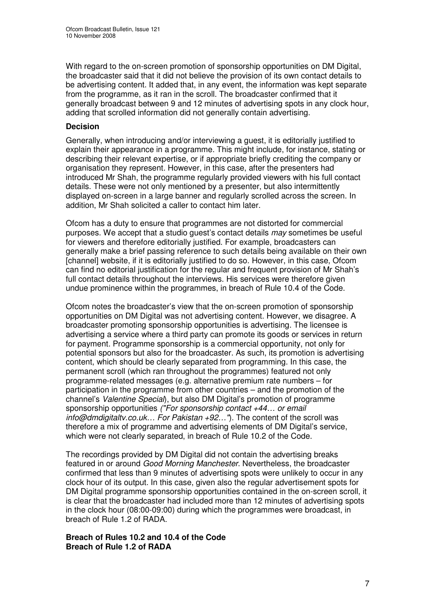With regard to the on-screen promotion of sponsorship opportunities on DM Digital, the broadcaster said that it did not believe the provision of its own contact details to be advertising content. It added that, in any event, the information was kept separate from the programme, as it ran in the scroll. The broadcaster confirmed that it generally broadcast between 9 and 12 minutes of advertising spots in any clock hour, adding that scrolled information did not generally contain advertising.

### **Decision**

Generally, when introducing and/or interviewing a guest, it is editorially justified to explain their appearance in a programme. This might include, for instance, stating or describing their relevant expertise, or if appropriate briefly crediting the company or organisation they represent. However, in this case, after the presenters had introduced Mr Shah, the programme regularly provided viewers with his full contact details. These were not only mentioned by a presenter, but also intermittently displayed on-screen in a large banner and regularly scrolled across the screen. In addition, Mr Shah solicited a caller to contact him later.

Ofcom has a duty to ensure that programmes are not distorted for commercial purposes. We accept that a studio guest's contact details *may* sometimes be useful for viewers and therefore editorially justified. For example, broadcasters can generally make a brief passing reference to such details being available on their own [channel] website, if it is editorially justified to do so. However, in this case, Ofcom can find no editorial justification for the regular and frequent provision of Mr Shah's full contact details throughout the interviews. His services were therefore given undue prominence within the programmes, in breach of Rule 10.4 of the Code.

Ofcom notes the broadcaster's view that the on-screen promotion of sponsorship opportunities on DM Digital was not advertising content. However, we disagree. A broadcaster promoting sponsorship opportunities is advertising. The licensee is advertising a service where a third party can promote its goods or services in return for payment. Programme sponsorship is a commercial opportunity, not only for potential sponsors but also for the broadcaster. As such, its promotion is advertising content, which should be clearly separated from programming. In this case, the permanent scroll (which ran throughout the programmes) featured not only programme-related messages (e.g. alternative premium rate numbers – for participation in the programme from other countries – and the promotion of the channel's *Valentine Special*), but also DM Digital's promotion of programme sponsorship opportunities *("For sponsorship contact +44… or email info@dmdigitaltv.co.uk… For Pakistan +92…"*). The content of the scroll was therefore a mix of programme and advertising elements of DM Digital's service, which were not clearly separated, in breach of Rule 10.2 of the Code.

The recordings provided by DM Digital did not contain the advertising breaks featured in or around *Good Morning Manchester*. Nevertheless, the broadcaster confirmed that less than 9 minutes of advertising spots were unlikely to occur in any clock hour of its output. In this case, given also the regular advertisement spots for DM Digital programme sponsorship opportunities contained in the on-screen scroll, it is clear that the broadcaster had included more than 12 minutes of advertising spots in the clock hour (08:00-09:00) during which the programmes were broadcast, in breach of Rule 1.2 of RADA.

**Breach of Rules 10.2 and 10.4 of the Code Breach of Rule 1.2 of RADA**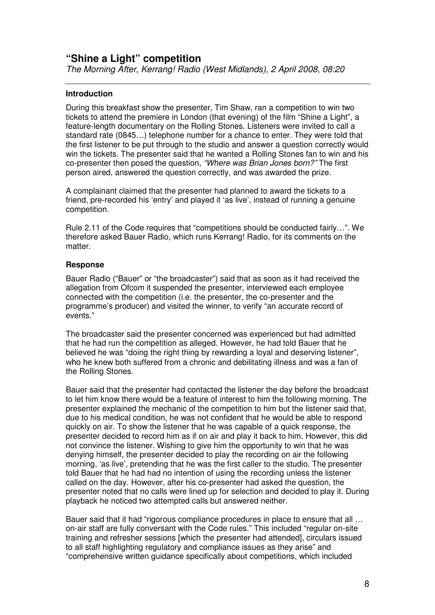# **"Shine a Light" competition**

*The Morning After*, *Kerrang! Radio (West Midlands), 2 April 2008, 08:20*

### **Introduction**

During this breakfast show the presenter, Tim Shaw, ran a competition to win two tickets to attend the premiere in London (that evening) of the film "Shine a Light", a feature-length documentary on the Rolling Stones. Listeners were invited to call a standard rate (0845…) telephone number for a chance to enter. They were told that the first listener to be put through to the studio and answer a question correctly would win the tickets. The presenter said that he wanted a Rolling Stones fan to win and his co-presenter then posed the question, *"Where was Brian Jones born?"* The first person aired, answered the question correctly, and was awarded the prize.

A complainant claimed that the presenter had planned to award the tickets to a friend, pre-recorded his 'entry' and played it 'as live', instead of running a genuine competition.

Rule 2.11 of the Code requires that "competitions should be conducted fairly…". We therefore asked Bauer Radio, which runs Kerrang! Radio, for its comments on the matter.

### **Response**

Bauer Radio ("Bauer" or "the broadcaster") said that as soon as it had received the allegation from Ofcom it suspended the presenter, interviewed each employee connected with the competition (i.e. the presenter, the co-presenter and the programme's producer) and visited the winner, to verify "an accurate record of events."

The broadcaster said the presenter concerned was experienced but had admitted that he had run the competition as alleged. However, he had told Bauer that he believed he was "doing the right thing by rewarding a loyal and deserving listener", who he knew both suffered from a chronic and debilitating illness and was a fan of the Rolling Stones.

Bauer said that the presenter had contacted the listener the day before the broadcast to let him know there would be a feature of interest to him the following morning. The presenter explained the mechanic of the competition to him but the listener said that, due to his medical condition, he was not confident that he would be able to respond quickly on air. To show the listener that he was capable of a quick response, the presenter decided to record him as if on air and play it back to him. However, this did not convince the listener. Wishing to give him the opportunity to win that he was denying himself, the presenter decided to play the recording on air the following morning, 'as live', pretending that he was the first caller to the studio. The presenter told Bauer that he had had no intention of using the recording unless the listener called on the day. However, after his co-presenter had asked the question, the presenter noted that no calls were lined up for selection and decided to play it. During playback he noticed two attempted calls but answered neither.

Bauer said that it had "rigorous compliance procedures in place to ensure that all ... on-air staff are fully conversant with the Code rules." This included "regular on-site training and refresher sessions [which the presenter had attended], circulars issued to all staff highlighting regulatory and compliance issues as they arise" and "comprehensive written guidance specifically about competitions, which included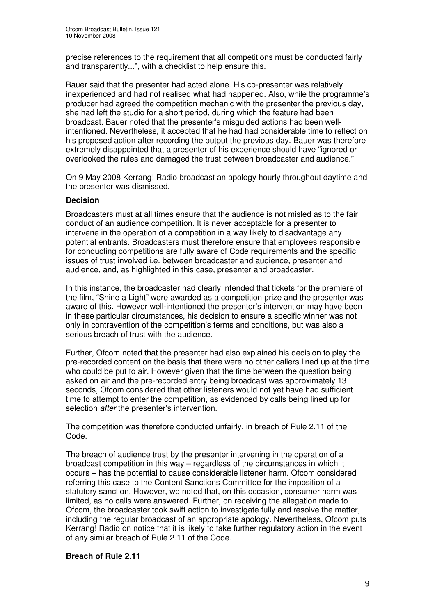precise references to the requirement that all competitions must be conducted fairly and transparently...", with a checklist to help ensure this.

Bauer said that the presenter had acted alone. His co-presenter was relatively inexperienced and had not realised what had happened. Also, while the programme's producer had agreed the competition mechanic with the presenter the previous day, she had left the studio for a short period, during which the feature had been broadcast. Bauer noted that the presenter's misguided actions had been wellintentioned. Nevertheless, it accepted that he had had considerable time to reflect on his proposed action after recording the output the previous day. Bauer was therefore extremely disappointed that a presenter of his experience should have "ignored or overlooked the rules and damaged the trust between broadcaster and audience."

On 9 May 2008 Kerrang! Radio broadcast an apology hourly throughout daytime and the presenter was dismissed.

### **Decision**

Broadcasters must at all times ensure that the audience is not misled as to the fair conduct of an audience competition. It is never acceptable for a presenter to intervene in the operation of a competition in a way likely to disadvantage any potential entrants. Broadcasters must therefore ensure that employees responsible for conducting competitions are fully aware of Code requirements and the specific issues of trust involved i.e. between broadcaster and audience, presenter and audience, and, as highlighted in this case, presenter and broadcaster.

In this instance, the broadcaster had clearly intended that tickets for the premiere of the film, "Shine a Light" were awarded as a competition prize and the presenter was aware of this. However well-intentioned the presenter's intervention may have been in these particular circumstances, his decision to ensure a specific winner was not only in contravention of the competition's terms and conditions, but was also a serious breach of trust with the audience.

Further, Ofcom noted that the presenter had also explained his decision to play the pre-recorded content on the basis that there were no other callers lined up at the time who could be put to air. However given that the time between the question being asked on air and the pre-recorded entry being broadcast was approximately 13 seconds, Ofcom considered that other listeners would not yet have had sufficient time to attempt to enter the competition, as evidenced by calls being lined up for selection *after* the presenter's intervention.

The competition was therefore conducted unfairly, in breach of Rule 2.11 of the Code.

The breach of audience trust by the presenter intervening in the operation of a broadcast competition in this way – regardless of the circumstances in which it occurs – has the potential to cause considerable listener harm. Ofcom considered referring this case to the Content Sanctions Committee for the imposition of a statutory sanction. However, we noted that, on this occasion, consumer harm was limited, as no calls were answered. Further, on receiving the allegation made to Ofcom, the broadcaster took swift action to investigate fully and resolve the matter, including the regular broadcast of an appropriate apology. Nevertheless, Ofcom puts Kerrang! Radio on notice that it is likely to take further regulatory action in the event of any similar breach of Rule 2.11 of the Code.

### **Breach of Rule 2.11**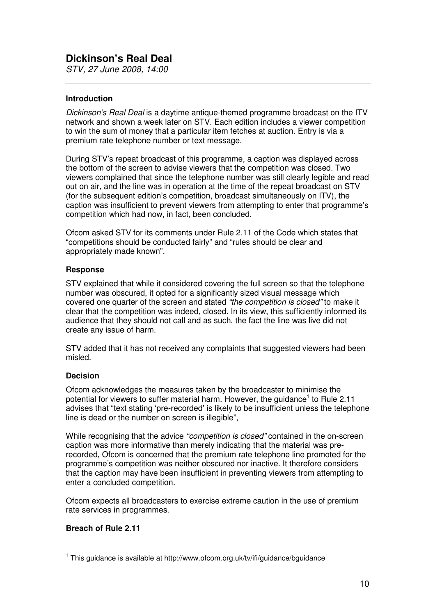*STV, 27 June 2008, 14:00*

### **Introduction**

*Dickinson's Real Deal* is a daytime antique-themed programme broadcast on the ITV network and shown a week later on STV. Each edition includes a viewer competition to win the sum of money that a particular item fetches at auction. Entry is via a premium rate telephone number or text message.

During STV's repeat broadcast of this programme, a caption was displayed across the bottom of the screen to advise viewers that the competition was closed. Two viewers complained that since the telephone number was still clearly legible and read out on air, and the line was in operation at the time of the repeat broadcast on STV (for the subsequent edition's competition, broadcast simultaneously on ITV), the caption was insufficient to prevent viewers from attempting to enter that programme's competition which had now, in fact, been concluded.

Ofcom asked STV for its comments under Rule 2.11 of the Code which states that "competitions should be conducted fairly" and "rules should be clear and appropriately made known".

### **Response**

STV explained that while it considered covering the full screen so that the telephone number was obscured, it opted for a significantly sized visual message which covered one quarter of the screen and stated *"the competition is closed"* to make it clear that the competition was indeed, closed. In its view, this sufficiently informed its audience that they should not call and as such, the fact the line was live did not create any issue of harm.

STV added that it has not received any complaints that suggested viewers had been misled.

### **Decision**

Ofcom acknowledges the measures taken by the broadcaster to minimise the potential for viewers to suffer material harm. However, the guidance<sup>1</sup> to Rule 2.11 advises that "text stating 'pre-recorded' is likely to be insufficient unless the telephone line is dead or the number on screen is illegible",

While recognising that the advice *"competition is closed"* contained in the on-screen caption was more informative than merely indicating that the material was prerecorded, Ofcom is concerned that the premium rate telephone line promoted for the programme's competition was neither obscured nor inactive. It therefore considers that the caption may have been insufficient in preventing viewers from attempting to enter a concluded competition.

Ofcom expects all broadcasters to exercise extreme caution in the use of premium rate services in programmes.

### **Breach of Rule 2.11**

<sup>&</sup>lt;sup>1</sup> This guidance is available at http://www.ofcom.org.uk/tv/ifi/guidance/bguidance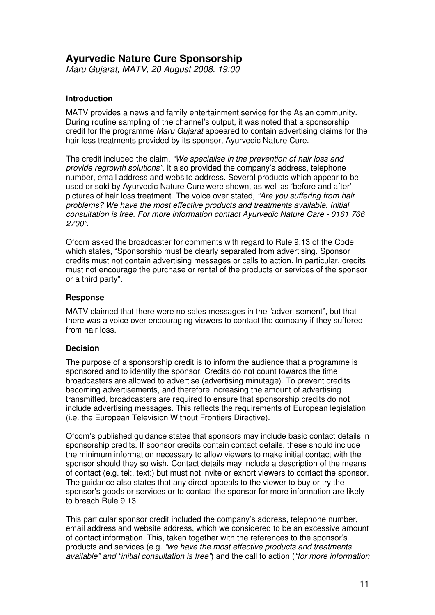# **Ayurvedic Nature Cure Sponsorship**

*Maru Gujarat, MATV, 20 August 2008, 19:00*

### **Introduction**

MATV provides a news and family entertainment service for the Asian community. During routine sampling of the channel's output, it was noted that a sponsorship credit for the programme *Maru Gujarat* appeared to contain advertising claims for the hair loss treatments provided by its sponsor, Ayurvedic Nature Cure.

The credit included the claim, *"We specialise in the prevention of hair loss and provide regrowth solutions".* It also provided the company's address, telephone number, email address and website address. Several products which appear to be used or sold by Ayurvedic Nature Cure were shown, as well as 'before and after' pictures of hair loss treatment. The voice over stated, *"Are you suffering from hair problems? We have the most effective products and treatments available. Initial consultation is free. For more information contact Ayurvedic Nature Care - 0161 766 2700".*

Ofcom asked the broadcaster for comments with regard to Rule 9.13 of the Code which states, "Sponsorship must be clearly separated from advertising. Sponsor credits must not contain advertising messages or calls to action. In particular, credits must not encourage the purchase or rental of the products or services of the sponsor or a third party".

### **Response**

MATV claimed that there were no sales messages in the "advertisement", but that there was a voice over encouraging viewers to contact the company if they suffered from hair loss.

### **Decision**

The purpose of a sponsorship credit is to inform the audience that a programme is sponsored and to identify the sponsor. Credits do not count towards the time broadcasters are allowed to advertise (advertising minutage). To prevent credits becoming advertisements, and therefore increasing the amount of advertising transmitted, broadcasters are required to ensure that sponsorship credits do not include advertising messages. This reflects the requirements of European legislation (i.e. the European Television Without Frontiers Directive).

Ofcom's published guidance states that sponsors may include basic contact details in sponsorship credits. If sponsor credits contain contact details, these should include the minimum information necessary to allow viewers to make initial contact with the sponsor should they so wish. Contact details may include a description of the means of contact (e.g. tel:, text:) but must not invite or exhort viewers to contact the sponsor. The guidance also states that any direct appeals to the viewer to buy or try the sponsor's goods or services or to contact the sponsor for more information are likely to breach Rule 9.13.

This particular sponsor credit included the company's address, telephone number, email address and website address, which we considered to be an excessive amount of contact information. This, taken together with the references to the sponsor's products and services (e.g. *"we have the most effective products and treatments available" and "initial consultation is free"*) and the call to action (*"for more information*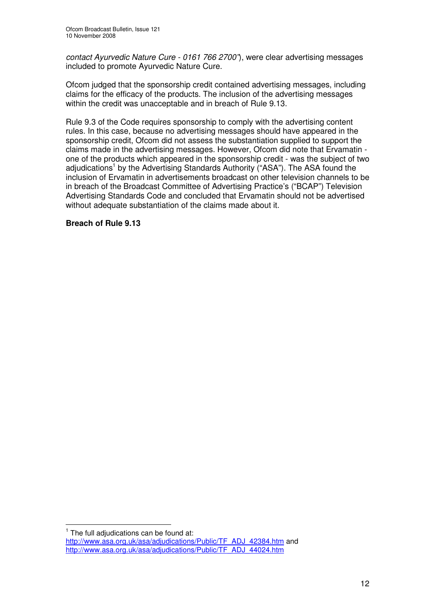*contact Ayurvedic Nature Cure - 0161 766 2700"*), were clear advertising messages included to promote Ayurvedic Nature Cure.

Ofcom judged that the sponsorship credit contained advertising messages, including claims for the efficacy of the products. The inclusion of the advertising messages within the credit was unacceptable and in breach of Rule 9.13.

Rule 9.3 of the Code requires sponsorship to comply with the advertising content rules. In this case, because no advertising messages should have appeared in the sponsorship credit, Ofcom did not assess the substantiation supplied to support the claims made in the advertising messages. However, Ofcom did note that Ervamatin one of the products which appeared in the sponsorship credit - was the subject of two adjudications<sup>1</sup> by the Advertising Standards Authority ("ASA"). The ASA found the inclusion of Ervamatin in advertisements broadcast on other television channels to be in breach of the Broadcast Committee of Advertising Practice's ("BCAP") Television Advertising Standards Code and concluded that Ervamatin should not be advertised without adequate substantiation of the claims made about it.

### **Breach of Rule 9.13**

 $1$  The full adjudications can be found at:

http://www.asa.org.uk/asa/adjudications/Public/TF\_ADJ\_42384.htm and http://www.asa.org.uk/asa/adjudications/Public/TF\_ADJ\_44024.htm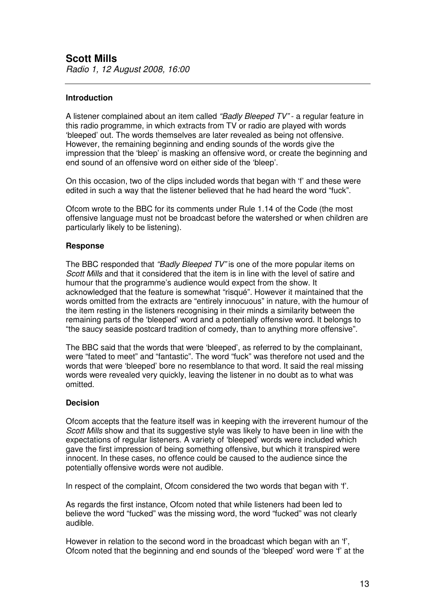### **Introduction**

A listener complained about an item called *"Badly Bleeped TV"* - a regular feature in this radio programme, in which extracts from TV or radio are played with words 'bleeped' out. The words themselves are later revealed as being not offensive. However, the remaining beginning and ending sounds of the words give the impression that the 'bleep' is masking an offensive word, or create the beginning and end sound of an offensive word on either side of the 'bleep'.

On this occasion, two of the clips included words that began with 'f' and these were edited in such a way that the listener believed that he had heard the word "fuck".

Ofcom wrote to the BBC for its comments under Rule 1.14 of the Code (the most offensive language must not be broadcast before the watershed or when children are particularly likely to be listening).

### **Response**

The BBC responded that *"Badly Bleeped TV"* is one of the more popular items on *Scott Mills* and that it considered that the item is in line with the level of satire and humour that the programme's audience would expect from the show. It acknowledged that the feature is somewhat "risqué". However it maintained that the words omitted from the extracts are "entirely innocuous" in nature, with the humour of the item resting in the listeners recognising in their minds a similarity between the remaining parts of the 'bleeped' word and a potentially offensive word. It belongs to "the saucy seaside postcard tradition of comedy, than to anything more offensive".

The BBC said that the words that were 'bleeped', as referred to by the complainant, were "fated to meet" and "fantastic". The word "fuck" was therefore not used and the words that were 'bleeped' bore no resemblance to that word. It said the real missing words were revealed very quickly, leaving the listener in no doubt as to what was omitted.

### **Decision**

Ofcom accepts that the feature itself was in keeping with the irreverent humour of the *Scott Mills* show and that its suggestive style was likely to have been in line with the expectations of regular listeners. A variety of 'bleeped' words were included which gave the first impression of being something offensive, but which it transpired were innocent. In these cases, no offence could be caused to the audience since the potentially offensive words were not audible.

In respect of the complaint, Ofcom considered the two words that began with 'f'.

As regards the first instance, Ofcom noted that while listeners had been led to believe the word "fucked" was the missing word, the word "fucked" was not clearly audible.

However in relation to the second word in the broadcast which began with an 'f', Ofcom noted that the beginning and end sounds of the 'bleeped' word were 'f' at the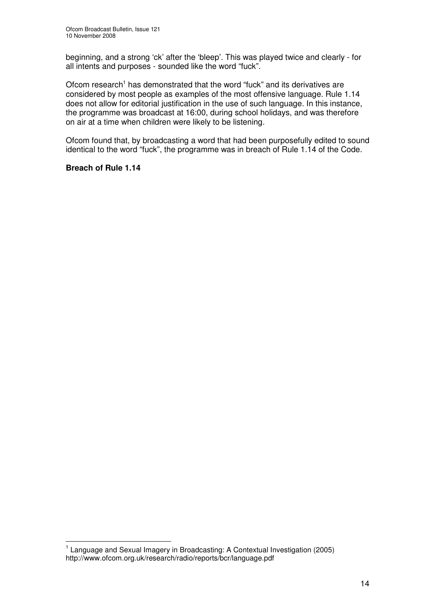beginning, and a strong 'ck' after the 'bleep'. This was played twice and clearly - for all intents and purposes - sounded like the word "fuck".

Ofcom research<sup>1</sup> has demonstrated that the word "fuck" and its derivatives are considered by most people as examples of the most offensive language. Rule 1.14 does not allow for editorial justification in the use of such language. In this instance, the programme was broadcast at 16:00, during school holidays, and was therefore on air at a time when children were likely to be listening.

Ofcom found that, by broadcasting a word that had been purposefully edited to sound identical to the word "fuck", the programme was in breach of Rule 1.14 of the Code.

### **Breach of Rule 1.14**

<sup>&</sup>lt;sup>1</sup> Language and Sexual Imagery in Broadcasting: A Contextual Investigation (2005) http://www.ofcom.org.uk/research/radio/reports/bcr/language.pdf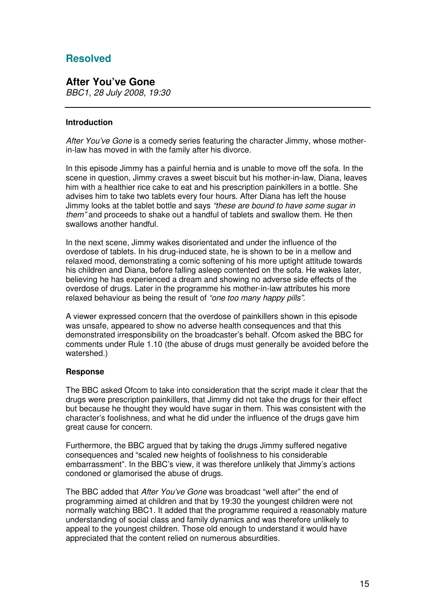# **Resolved**

### **After You've Gone** *BBC1, 28 July 2008, 19:30*

### **Introduction**

*After You've Gone* is a comedy series featuring the character Jimmy, whose motherin-law has moved in with the family after his divorce.

In this episode Jimmy has a painful hernia and is unable to move off the sofa. In the scene in question, Jimmy craves a sweet biscuit but his mother-in-law, Diana, leaves him with a healthier rice cake to eat and his prescription painkillers in a bottle. She advises him to take two tablets every four hours. After Diana has left the house Jimmy looks at the tablet bottle and says *"these are bound to have some sugar in them"* and proceeds to shake out a handful of tablets and swallow them. He then swallows another handful.

In the next scene, Jimmy wakes disorientated and under the influence of the overdose of tablets. In his drug-induced state, he is shown to be in a mellow and relaxed mood, demonstrating a comic softening of his more uptight attitude towards his children and Diana, before falling asleep contented on the sofa. He wakes later, believing he has experienced a dream and showing no adverse side effects of the overdose of drugs. Later in the programme his mother-in-law attributes his more relaxed behaviour as being the result of *"one too many happy pills"*.

A viewer expressed concern that the overdose of painkillers shown in this episode was unsafe, appeared to show no adverse health consequences and that this demonstrated irresponsibility on the broadcaster's behalf. Ofcom asked the BBC for comments under Rule 1.10 (the abuse of drugs must generally be avoided before the watershed.)

### **Response**

The BBC asked Ofcom to take into consideration that the script made it clear that the drugs were prescription painkillers, that Jimmy did not take the drugs for their effect but because he thought they would have sugar in them. This was consistent with the character's foolishness, and what he did under the influence of the drugs gave him great cause for concern.

Furthermore, the BBC argued that by taking the drugs Jimmy suffered negative consequences and "scaled new heights of foolishness to his considerable embarrassment". In the BBC's view, it was therefore unlikely that Jimmy's actions condoned or glamorised the abuse of drugs.

The BBC added that *After You've Gone* was broadcast "well after" the end of programming aimed at children and that by 19:30 the youngest children were not normally watching BBC1. It added that the programme required a reasonably mature understanding of social class and family dynamics and was therefore unlikely to appeal to the youngest children. Those old enough to understand it would have appreciated that the content relied on numerous absurdities.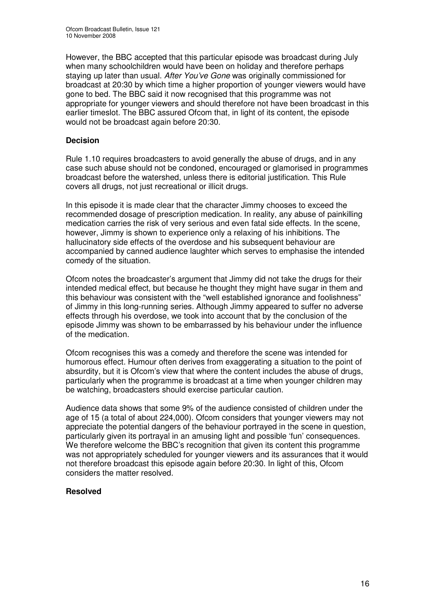However, the BBC accepted that this particular episode was broadcast during July when many schoolchildren would have been on holiday and therefore perhaps staying up later than usual. *After You've Gone* was originally commissioned for broadcast at 20:30 by which time a higher proportion of younger viewers would have gone to bed. The BBC said it now recognised that this programme was not appropriate for younger viewers and should therefore not have been broadcast in this earlier timeslot. The BBC assured Ofcom that, in light of its content, the episode would not be broadcast again before 20:30.

### **Decision**

Rule 1.10 requires broadcasters to avoid generally the abuse of drugs, and in any case such abuse should not be condoned, encouraged or glamorised in programmes broadcast before the watershed, unless there is editorial justification. This Rule covers all drugs, not just recreational or illicit drugs.

In this episode it is made clear that the character Jimmy chooses to exceed the recommended dosage of prescription medication. In reality, any abuse of painkilling medication carries the risk of very serious and even fatal side effects. In the scene, however, Jimmy is shown to experience only a relaxing of his inhibitions. The hallucinatory side effects of the overdose and his subsequent behaviour are accompanied by canned audience laughter which serves to emphasise the intended comedy of the situation.

Ofcom notes the broadcaster's argument that Jimmy did not take the drugs for their intended medical effect, but because he thought they might have sugar in them and this behaviour was consistent with the "well established ignorance and foolishness" of Jimmy in this long-running series. Although Jimmy appeared to suffer no adverse effects through his overdose, we took into account that by the conclusion of the episode Jimmy was shown to be embarrassed by his behaviour under the influence of the medication.

Ofcom recognises this was a comedy and therefore the scene was intended for humorous effect. Humour often derives from exaggerating a situation to the point of absurdity, but it is Ofcom's view that where the content includes the abuse of drugs, particularly when the programme is broadcast at a time when younger children may be watching, broadcasters should exercise particular caution.

Audience data shows that some 9% of the audience consisted of children under the age of 15 (a total of about 224,000). Ofcom considers that younger viewers may not appreciate the potential dangers of the behaviour portrayed in the scene in question, particularly given its portrayal in an amusing light and possible 'fun' consequences. We therefore welcome the BBC's recognition that given its content this programme was not appropriately scheduled for younger viewers and its assurances that it would not therefore broadcast this episode again before 20:30. In light of this, Ofcom considers the matter resolved.

### **Resolved**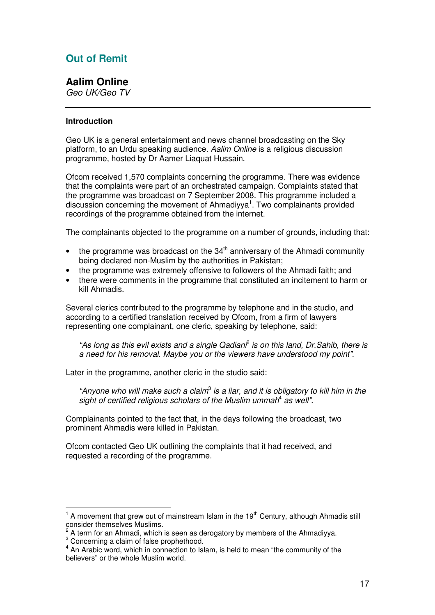# **Out of Remit**

### **Aalim Online**

*Geo UK/Geo TV*

### **Introduction**

Geo UK is a general entertainment and news channel broadcasting on the Sky platform, to an Urdu speaking audience. *Aalim Online* is a religious discussion programme, hosted by Dr Aamer Liaquat Hussain.

Ofcom received 1,570 complaints concerning the programme. There was evidence that the complaints were part of an orchestrated campaign. Complaints stated that the programme was broadcast on 7 September 2008. This programme included a discussion concerning the movement of Ahmadiyya<sup>1</sup>. Two complainants provided recordings of the programme obtained from the internet.

The complainants objected to the programme on a number of grounds, including that:

- $\bullet$  the programme was broadcast on the 34<sup>th</sup> anniversary of the Ahmadi community being declared non-Muslim by the authorities in Pakistan;
- the programme was extremely offensive to followers of the Ahmadi faith; and
- there were comments in the programme that constituted an incitement to harm or kill Ahmadis.

Several clerics contributed to the programme by telephone and in the studio, and according to a certified translation received by Ofcom, from a firm of lawyers representing one complainant, one cleric, speaking by telephone, said:

*"As long as this evil exists and a single Qadiani* 2 *is on this land, Dr.Sahib, there is a need for his removal. Maybe you or the viewers have understood my point".*

Later in the programme, another cleric in the studio said:

*"Anyone who will make such a claim* 3 *is a liar, and it is obligatory to kill him in the sight of certified religious scholars of the Muslim ummah* 4 *as well".*

Complainants pointed to the fact that, in the days following the broadcast, two prominent Ahmadis were killed in Pakistan.

Ofcom contacted Geo UK outlining the complaints that it had received, and requested a recording of the programme.

<sup>1</sup> A movement that grew out of mainstream Islam in the 19<sup>th</sup> Century, although Ahmadis still consider themselves Muslims.<br><sup>2</sup> A term for an Abmodi, which

A term for an Ahmadi, which is seen as derogatory by members of the Ahmadiyya.

<sup>&</sup>lt;sup>3</sup> Concerning a claim of false prophethood.

<sup>&</sup>lt;sup>4</sup> An Arabic word, which in connection to Islam, is held to mean "the community of the believers" or the whole Muslim world.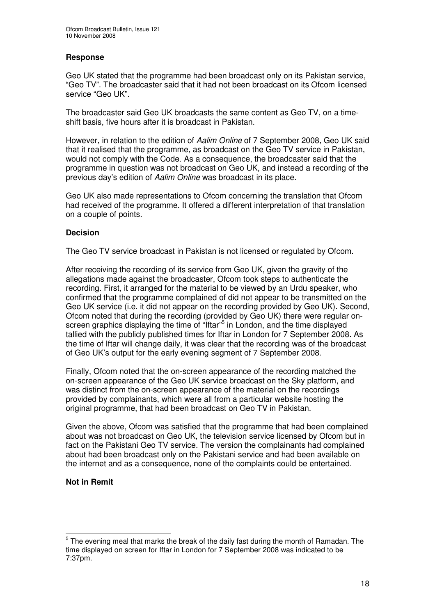### **Response**

Geo UK stated that the programme had been broadcast only on its Pakistan service, "Geo TV". The broadcaster said that it had not been broadcast on its Ofcom licensed service "Geo UK".

The broadcaster said Geo UK broadcasts the same content as Geo TV, on a timeshift basis, five hours after it is broadcast in Pakistan.

However, in relation to the edition of *Aalim Online* of 7 September 2008, Geo UK said that it realised that the programme, as broadcast on the Geo TV service in Pakistan, would not comply with the Code. As a consequence, the broadcaster said that the programme in question was not broadcast on Geo UK, and instead a recording of the previous day's edition of *Aalim Online* was broadcast in its place.

Geo UK also made representations to Ofcom concerning the translation that Ofcom had received of the programme. It offered a different interpretation of that translation on a couple of points.

### **Decision**

The Geo TV service broadcast in Pakistan is not licensed or regulated by Ofcom.

After receiving the recording of its service from Geo UK, given the gravity of the allegations made against the broadcaster, Ofcom took steps to authenticate the recording. First, it arranged for the material to be viewed by an Urdu speaker, who confirmed that the programme complained of did not appear to be transmitted on the Geo UK service (i.e. it did not appear on the recording provided by Geo UK). Second, Ofcom noted that during the recording (provided by Geo UK) there were regular onscreen graphics displaying the time of "Iftar"<sup>5</sup> in London, and the time displayed tallied with the publicly published times for Iftar in London for 7 September 2008. As the time of Iftar will change daily, it was clear that the recording was of the broadcast of Geo UK's output for the early evening segment of 7 September 2008.

Finally, Ofcom noted that the on-screen appearance of the recording matched the on-screen appearance of the Geo UK service broadcast on the Sky platform, and was distinct from the on-screen appearance of the material on the recordings provided by complainants, which were all from a particular website hosting the original programme, that had been broadcast on Geo TV in Pakistan.

Given the above, Ofcom was satisfied that the programme that had been complained about was not broadcast on Geo UK, the television service licensed by Ofcom but in fact on the Pakistani Geo TV service. The version the complainants had complained about had been broadcast only on the Pakistani service and had been available on the internet and as a consequence, none of the complaints could be entertained.

### **Not in Remit**

 $^5$  The evening meal that marks the break of the daily fast during the month of Ramadan. The time displayed on screen for Iftar in London for 7 September 2008 was indicated to be 7:37pm.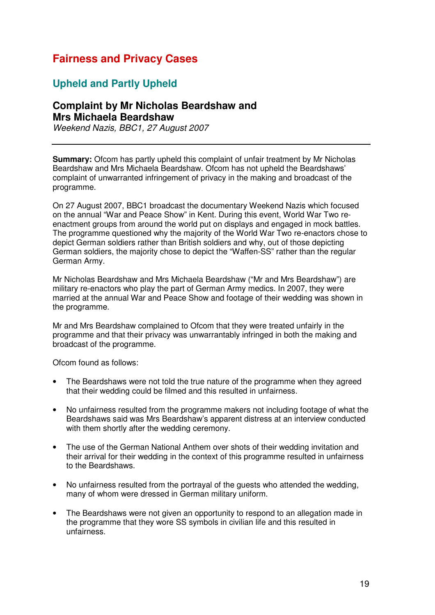# **Fairness and Privacy Cases**

# **Upheld and Partly Upheld**

# **Complaint by Mr Nicholas Beardshaw and Mrs Michaela Beardshaw**

*Weekend Nazis, BBC1, 27 August 2007*

**Summary:** Ofcom has partly upheld this complaint of unfair treatment by Mr Nicholas Beardshaw and Mrs Michaela Beardshaw. Ofcom has not upheld the Beardshaws' complaint of unwarranted infringement of privacy in the making and broadcast of the programme.

On 27 August 2007, BBC1 broadcast the documentary Weekend Nazis which focused on the annual "War and Peace Show" in Kent. During this event, World War Two reenactment groups from around the world put on displays and engaged in mock battles. The programme questioned why the majority of the World War Two re-enactors chose to depict German soldiers rather than British soldiers and why, out of those depicting German soldiers, the majority chose to depict the "Waffen-SS" rather than the regular German Army.

Mr Nicholas Beardshaw and Mrs Michaela Beardshaw ("Mr and Mrs Beardshaw") are military re-enactors who play the part of German Army medics. In 2007, they were married at the annual War and Peace Show and footage of their wedding was shown in the programme.

Mr and Mrs Beardshaw complained to Ofcom that they were treated unfairly in the programme and that their privacy was unwarrantably infringed in both the making and broadcast of the programme.

Ofcom found as follows:

- The Beardshaws were not told the true nature of the programme when they agreed that their wedding could be filmed and this resulted in unfairness.
- No unfairness resulted from the programme makers not including footage of what the Beardshaws said was Mrs Beardshaw's apparent distress at an interview conducted with them shortly after the wedding ceremony.
- The use of the German National Anthem over shots of their wedding invitation and their arrival for their wedding in the context of this programme resulted in unfairness to the Beardshaws.
- No unfairness resulted from the portrayal of the guests who attended the wedding, many of whom were dressed in German military uniform.
- The Beardshaws were not given an opportunity to respond to an allegation made in the programme that they wore SS symbols in civilian life and this resulted in unfairness.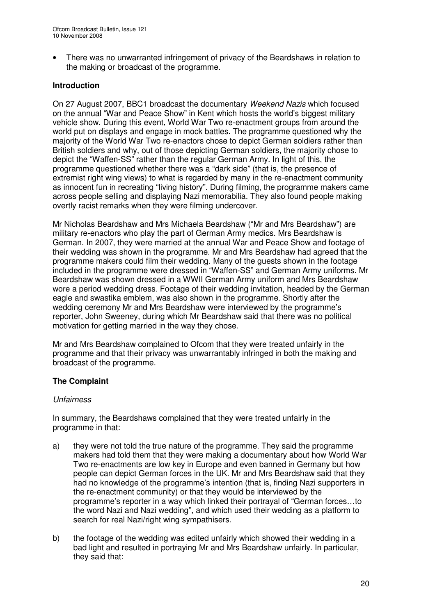• There was no unwarranted infringement of privacy of the Beardshaws in relation to the making or broadcast of the programme.

### **Introduction**

On 27 August 2007, BBC1 broadcast the documentary *Weekend Nazis* which focused on the annual "War and Peace Show" in Kent which hosts the world's biggest military vehicle show. During this event, World War Two re-enactment groups from around the world put on displays and engage in mock battles. The programme questioned why the majority of the World War Two re-enactors chose to depict German soldiers rather than British soldiers and why, out of those depicting German soldiers, the majority chose to depict the "Waffen-SS" rather than the regular German Army. In light of this, the programme questioned whether there was a "dark side" (that is, the presence of extremist right wing views) to what is regarded by many in the re-enactment community as innocent fun in recreating "living history". During filming, the programme makers came across people selling and displaying Nazi memorabilia. They also found people making overtly racist remarks when they were filming undercover.

Mr Nicholas Beardshaw and Mrs Michaela Beardshaw ("Mr and Mrs Beardshaw") are military re-enactors who play the part of German Army medics. Mrs Beardshaw is German. In 2007, they were married at the annual War and Peace Show and footage of their wedding was shown in the programme. Mr and Mrs Beardshaw had agreed that the programme makers could film their wedding. Many of the guests shown in the footage included in the programme were dressed in "Waffen-SS" and German Army uniforms. Mr Beardshaw was shown dressed in a WWII German Army uniform and Mrs Beardshaw wore a period wedding dress. Footage of their wedding invitation, headed by the German eagle and swastika emblem, was also shown in the programme. Shortly after the wedding ceremony Mr and Mrs Beardshaw were interviewed by the programme's reporter, John Sweeney, during which Mr Beardshaw said that there was no political motivation for getting married in the way they chose.

Mr and Mrs Beardshaw complained to Ofcom that they were treated unfairly in the programme and that their privacy was unwarrantably infringed in both the making and broadcast of the programme.

### **The Complaint**

### *Unfairness*

In summary, the Beardshaws complained that they were treated unfairly in the programme in that:

- a) they were not told the true nature of the programme. They said the programme makers had told them that they were making a documentary about how World War Two re-enactments are low key in Europe and even banned in Germany but how people can depict German forces in the UK. Mr and Mrs Beardshaw said that they had no knowledge of the programme's intention (that is, finding Nazi supporters in the re-enactment community) or that they would be interviewed by the programme's reporter in a way which linked their portrayal of "German forces…to the word Nazi and Nazi wedding", and which used their wedding as a platform to search for real Nazi/right wing sympathisers.
- b) the footage of the wedding was edited unfairly which showed their wedding in a bad light and resulted in portraying Mr and Mrs Beardshaw unfairly. In particular, they said that: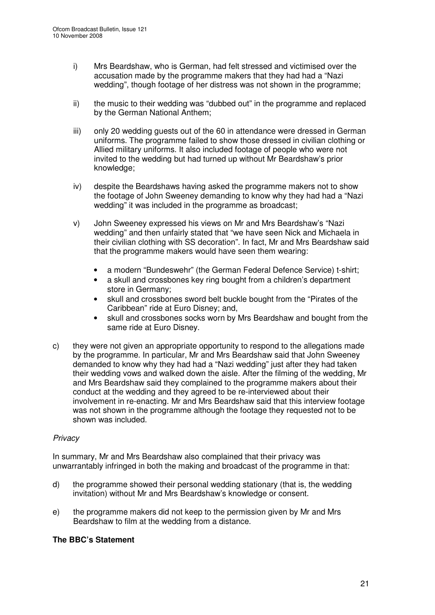- i) Mrs Beardshaw, who is German, had felt stressed and victimised over the accusation made by the programme makers that they had had a "Nazi wedding", though footage of her distress was not shown in the programme;
- ii) the music to their wedding was "dubbed out" in the programme and replaced by the German National Anthem;
- iii) only 20 wedding guests out of the 60 in attendance were dressed in German uniforms. The programme failed to show those dressed in civilian clothing or Allied military uniforms. It also included footage of people who were not invited to the wedding but had turned up without Mr Beardshaw's prior knowledge;
- iv) despite the Beardshaws having asked the programme makers not to show the footage of John Sweeney demanding to know why they had had a "Nazi wedding" it was included in the programme as broadcast;
- v) John Sweeney expressed his views on Mr and Mrs Beardshaw's "Nazi wedding" and then unfairly stated that "we have seen Nick and Michaela in their civilian clothing with SS decoration". In fact, Mr and Mrs Beardshaw said that the programme makers would have seen them wearing:
	- a modern "Bundeswehr" (the German Federal Defence Service) t-shirt;
	- a skull and crossbones key ring bought from a children's department store in Germany;
	- skull and crossbones sword belt buckle bought from the "Pirates of the Caribbean" ride at Euro Disney; and,
	- skull and crossbones socks worn by Mrs Beardshaw and bought from the same ride at Euro Disney.
- c) they were not given an appropriate opportunity to respond to the allegations made by the programme. In particular, Mr and Mrs Beardshaw said that John Sweeney demanded to know why they had had a "Nazi wedding" just after they had taken their wedding vows and walked down the aisle. After the filming of the wedding, Mr and Mrs Beardshaw said they complained to the programme makers about their conduct at the wedding and they agreed to be re-interviewed about their involvement in re-enacting. Mr and Mrs Beardshaw said that this interview footage was not shown in the programme although the footage they requested not to be shown was included.

### *Privacy*

In summary, Mr and Mrs Beardshaw also complained that their privacy was unwarrantably infringed in both the making and broadcast of the programme in that:

- d) the programme showed their personal wedding stationary (that is, the wedding invitation) without Mr and Mrs Beardshaw's knowledge or consent.
- e) the programme makers did not keep to the permission given by Mr and Mrs Beardshaw to film at the wedding from a distance.

### **The BBC's Statement**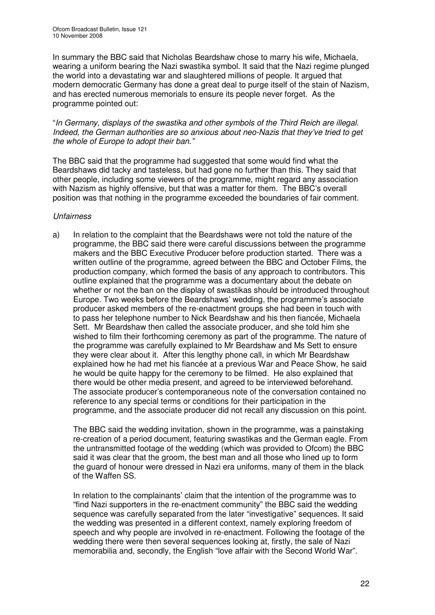In summary the BBC said that Nicholas Beardshaw chose to marry his wife, Michaela, wearing a uniform bearing the Nazi swastika symbol. It said that the Nazi regime plunged the world into a devastating war and slaughtered millions of people. It argued that modern democratic Germany has done a great deal to purge itself of the stain of Nazism, and has erected numerous memorials to ensure its people never forget. As the programme pointed out:

"*In Germany, displays of the swastika and other symbols of the Third Reich are illegal. Indeed, the German authorities are so anxious about neo-Nazis that they've tried to get the whole of Europe to adopt their ban."*

The BBC said that the programme had suggested that some would find what the Beardshaws did tacky and tasteless, but had gone no further than this. They said that other people, including some viewers of the programme, might regard any association with Nazism as highly offensive, but that was a matter for them. The BBC's overall position was that nothing in the programme exceeded the boundaries of fair comment.

### *Unfairness*

a) In relation to the complaint that the Beardshaws were not told the nature of the programme, the BBC said there were careful discussions between the programme makers and the BBC Executive Producer before production started. There was a written outline of the programme, agreed between the BBC and October Films, the production company, which formed the basis of any approach to contributors. This outline explained that the programme was a documentary about the debate on whether or not the ban on the display of swastikas should be introduced throughout Europe. Two weeks before the Beardshaws' wedding, the programme's associate producer asked members of the re-enactment groups she had been in touch with to pass her telephone number to Nick Beardshaw and his then fiancée, Michaela Sett. Mr Beardshaw then called the associate producer, and she told him she wished to film their forthcoming ceremony as part of the programme. The nature of the programme was carefully explained to Mr Beardshaw and Ms Sett to ensure they were clear about it. After this lengthy phone call, in which Mr Beardshaw explained how he had met his fiancée at a previous War and Peace Show, he said he would be quite happy for the ceremony to be filmed. He also explained that there would be other media present, and agreed to be interviewed beforehand. The associate producer's contemporaneous note of the conversation contained no reference to any special terms or conditions for their participation in the programme, and the associate producer did not recall any discussion on this point.

The BBC said the wedding invitation, shown in the programme, was a painstaking re-creation of a period document, featuring swastikas and the German eagle. From the untransmitted footage of the wedding (which was provided to Ofcom) the BBC said it was clear that the groom, the best man and all those who lined up to form the guard of honour were dressed in Nazi era uniforms, many of them in the black of the Waffen SS.

In relation to the complainants' claim that the intention of the programme was to "find Nazi supporters in the re-enactment community" the BBC said the wedding sequence was carefully separated from the later "investigative" sequences. It said the wedding was presented in a different context, namely exploring freedom of speech and why people are involved in re-enactment. Following the footage of the wedding there were then several sequences looking at, firstly, the sale of Nazi memorabilia and, secondly, the English "love affair with the Second World War".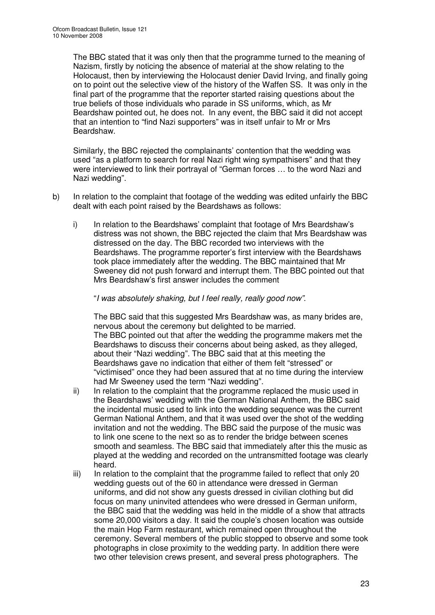The BBC stated that it was only then that the programme turned to the meaning of Nazism, firstly by noticing the absence of material at the show relating to the Holocaust, then by interviewing the Holocaust denier David Irving, and finally going on to point out the selective view of the history of the Waffen SS. It was only in the final part of the programme that the reporter started raising questions about the true beliefs of those individuals who parade in SS uniforms, which, as Mr Beardshaw pointed out, he does not. In any event, the BBC said it did not accept that an intention to "find Nazi supporters" was in itself unfair to Mr or Mrs Beardshaw.

Similarly, the BBC rejected the complainants' contention that the wedding was used "as a platform to search for real Nazi right wing sympathisers" and that they were interviewed to link their portrayal of "German forces … to the word Nazi and Nazi wedding".

- b) In relation to the complaint that footage of the wedding was edited unfairly the BBC dealt with each point raised by the Beardshaws as follows:
	- i) In relation to the Beardshaws' complaint that footage of Mrs Beardshaw's distress was not shown, the BBC rejected the claim that Mrs Beardshaw was distressed on the day. The BBC recorded two interviews with the Beardshaws. The programme reporter's first interview with the Beardshaws took place immediately after the wedding. The BBC maintained that Mr Sweeney did not push forward and interrupt them. The BBC pointed out that Mrs Beardshaw's first answer includes the comment

"*I was absolutely shaking, but I feel really, really good now"*.

The BBC said that this suggested Mrs Beardshaw was, as many brides are, nervous about the ceremony but delighted to be married. The BBC pointed out that after the wedding the programme makers met the Beardshaws to discuss their concerns about being asked, as they alleged, about their "Nazi wedding". The BBC said that at this meeting the Beardshaws gave no indication that either of them felt "stressed" or "victimised" once they had been assured that at no time during the interview had Mr Sweeney used the term "Nazi wedding".

- ii) In relation to the complaint that the programme replaced the music used in the Beardshaws' wedding with the German National Anthem, the BBC said the incidental music used to link into the wedding sequence was the current German National Anthem, and that it was used over the shot of the wedding invitation and not the wedding. The BBC said the purpose of the music was to link one scene to the next so as to render the bridge between scenes smooth and seamless. The BBC said that immediately after this the music as played at the wedding and recorded on the untransmitted footage was clearly heard.
- iii) In relation to the complaint that the programme failed to reflect that only 20 wedding guests out of the 60 in attendance were dressed in German uniforms, and did not show any guests dressed in civilian clothing but did focus on many uninvited attendees who were dressed in German uniform, the BBC said that the wedding was held in the middle of a show that attracts some 20,000 visitors a day. It said the couple's chosen location was outside the main Hop Farm restaurant, which remained open throughout the ceremony. Several members of the public stopped to observe and some took photographs in close proximity to the wedding party. In addition there were two other television crews present, and several press photographers. The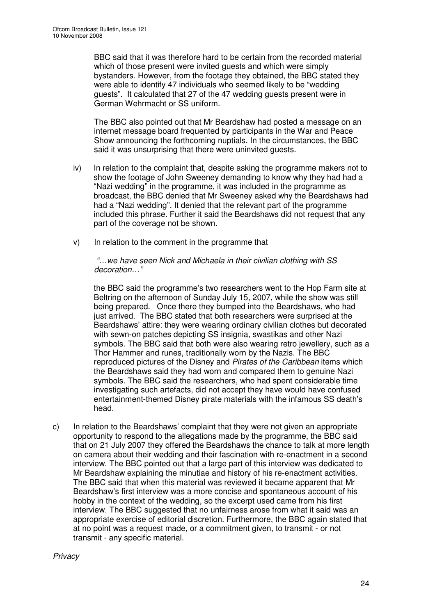BBC said that it was therefore hard to be certain from the recorded material which of those present were invited guests and which were simply bystanders. However, from the footage they obtained, the BBC stated they were able to identify 47 individuals who seemed likely to be "wedding guests". It calculated that 27 of the 47 wedding guests present were in German Wehrmacht or SS uniform.

The BBC also pointed out that Mr Beardshaw had posted a message on an internet message board frequented by participants in the War and Peace Show announcing the forthcoming nuptials. In the circumstances, the BBC said it was unsurprising that there were uninvited guests.

- iv) In relation to the complaint that, despite asking the programme makers not to show the footage of John Sweeney demanding to know why they had had a "Nazi wedding" in the programme, it was included in the programme as broadcast, the BBC denied that Mr Sweeney asked why the Beardshaws had had a "Nazi wedding". It denied that the relevant part of the programme included this phrase. Further it said the Beardshaws did not request that any part of the coverage not be shown.
- v) In relation to the comment in the programme that

*"…we have seen Nick and Michaela in their civilian clothing with SS decoration…"*

the BBC said the programme's two researchers went to the Hop Farm site at Beltring on the afternoon of Sunday July 15, 2007, while the show was still being prepared. Once there they bumped into the Beardshaws, who had just arrived. The BBC stated that both researchers were surprised at the Beardshaws' attire: they were wearing ordinary civilian clothes but decorated with sewn-on patches depicting SS insignia, swastikas and other Nazi symbols. The BBC said that both were also wearing retro jewellery, such as a Thor Hammer and runes, traditionally worn by the Nazis. The BBC reproduced pictures of the Disney and *Pirates of the Caribbean* items which the Beardshaws said they had worn and compared them to genuine Nazi symbols. The BBC said the researchers, who had spent considerable time investigating such artefacts, did not accept they have would have confused entertainment-themed Disney pirate materials with the infamous SS death's head.

c) In relation to the Beardshaws' complaint that they were not given an appropriate opportunity to respond to the allegations made by the programme, the BBC said that on 21 July 2007 they offered the Beardshaws the chance to talk at more length on camera about their wedding and their fascination with re-enactment in a second interview. The BBC pointed out that a large part of this interview was dedicated to Mr Beardshaw explaining the minutiae and history of his re-enactment activities. The BBC said that when this material was reviewed it became apparent that Mr Beardshaw's first interview was a more concise and spontaneous account of his hobby in the context of the wedding, so the excerpt used came from his first interview. The BBC suggested that no unfairness arose from what it said was an appropriate exercise of editorial discretion. Furthermore, the BBC again stated that at no point was a request made, or a commitment given, to transmit - or not transmit - any specific material.

*Privacy*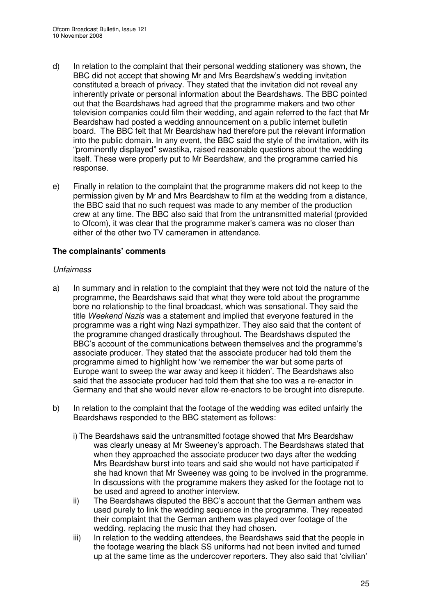- d) In relation to the complaint that their personal wedding stationery was shown, the BBC did not accept that showing Mr and Mrs Beardshaw's wedding invitation constituted a breach of privacy. They stated that the invitation did not reveal any inherently private or personal information about the Beardshaws. The BBC pointed out that the Beardshaws had agreed that the programme makers and two other television companies could film their wedding, and again referred to the fact that Mr Beardshaw had posted a wedding announcement on a public internet bulletin board. The BBC felt that Mr Beardshaw had therefore put the relevant information into the public domain. In any event, the BBC said the style of the invitation, with its "prominently displayed" swastika, raised reasonable questions about the wedding itself. These were properly put to Mr Beardshaw, and the programme carried his response.
- e) Finally in relation to the complaint that the programme makers did not keep to the permission given by Mr and Mrs Beardshaw to film at the wedding from a distance, the BBC said that no such request was made to any member of the production crew at any time. The BBC also said that from the untransmitted material (provided to Ofcom), it was clear that the programme maker's camera was no closer than either of the other two TV cameramen in attendance.

### **The complainants' comments**

### *Unfairness*

- a) In summary and in relation to the complaint that they were not told the nature of the programme, the Beardshaws said that what they were told about the programme bore no relationship to the final broadcast, which was sensational. They said the title *Weekend Nazis* was a statement and implied that everyone featured in the programme was a right wing Nazi sympathizer. They also said that the content of the programme changed drastically throughout. The Beardshaws disputed the BBC's account of the communications between themselves and the programme's associate producer. They stated that the associate producer had told them the programme aimed to highlight how 'we remember the war but some parts of Europe want to sweep the war away and keep it hidden'. The Beardshaws also said that the associate producer had told them that she too was a re-enactor in Germany and that she would never allow re-enactors to be brought into disrepute.
- b) In relation to the complaint that the footage of the wedding was edited unfairly the Beardshaws responded to the BBC statement as follows:
	- i) The Beardshaws said the untransmitted footage showed that Mrs Beardshaw was clearly uneasy at Mr Sweeney's approach. The Beardshaws stated that when they approached the associate producer two days after the wedding Mrs Beardshaw burst into tears and said she would not have participated if she had known that Mr Sweeney was going to be involved in the programme. In discussions with the programme makers they asked for the footage not to be used and agreed to another interview.
	- ii) The Beardshaws disputed the BBC's account that the German anthem was used purely to link the wedding sequence in the programme. They repeated their complaint that the German anthem was played over footage of the wedding, replacing the music that they had chosen.
	- iii) In relation to the wedding attendees, the Beardshaws said that the people in the footage wearing the black SS uniforms had not been invited and turned up at the same time as the undercover reporters. They also said that 'civilian'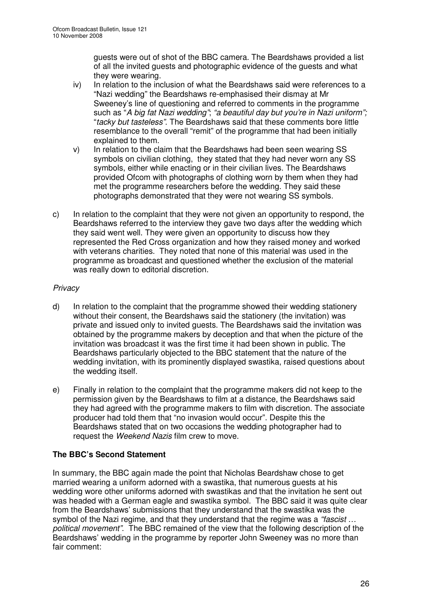guests were out of shot of the BBC camera. The Beardshaws provided a list of all the invited guests and photographic evidence of the guests and what they were wearing.

- iv) In relation to the inclusion of what the Beardshaws said were references to a "Nazi wedding" the Beardshaws re-emphasised their dismay at Mr Sweeney's line of questioning and referred to comments in the programme such as "*A big fat Nazi wedding"*; *"a beautiful day but you're in Nazi uniform";* "*tacky but tasteless"*. The Beardshaws said that these comments bore little resemblance to the overall "remit" of the programme that had been initially explained to them.
- v) In relation to the claim that the Beardshaws had been seen wearing SS symbols on civilian clothing, they stated that they had never worn any SS symbols, either while enacting or in their civilian lives. The Beardshaws provided Ofcom with photographs of clothing worn by them when they had met the programme researchers before the wedding. They said these photographs demonstrated that they were not wearing SS symbols.
- c) In relation to the complaint that they were not given an opportunity to respond, the Beardshaws referred to the interview they gave two days after the wedding which they said went well. They were given an opportunity to discuss how they represented the Red Cross organization and how they raised money and worked with veterans charities. They noted that none of this material was used in the programme as broadcast and questioned whether the exclusion of the material was really down to editorial discretion.

### *Privacy*

- d) In relation to the complaint that the programme showed their wedding stationery without their consent, the Beardshaws said the stationery (the invitation) was private and issued only to invited guests. The Beardshaws said the invitation was obtained by the programme makers by deception and that when the picture of the invitation was broadcast it was the first time it had been shown in public. The Beardshaws particularly objected to the BBC statement that the nature of the wedding invitation, with its prominently displayed swastika, raised questions about the wedding itself.
- e) Finally in relation to the complaint that the programme makers did not keep to the permission given by the Beardshaws to film at a distance, the Beardshaws said they had agreed with the programme makers to film with discretion. The associate producer had told them that "no invasion would occur". Despite this the Beardshaws stated that on two occasions the wedding photographer had to request the *Weekend Nazis* film crew to move.

### **The BBC's Second Statement**

In summary, the BBC again made the point that Nicholas Beardshaw chose to get married wearing a uniform adorned with a swastika, that numerous guests at his wedding wore other uniforms adorned with swastikas and that the invitation he sent out was headed with a German eagle and swastika symbol. The BBC said it was quite clear from the Beardshaws' submissions that they understand that the swastika was the symbol of the Nazi regime, and that they understand that the regime was a *"fascist … political movement"*. The BBC remained of the view that the following description of the Beardshaws' wedding in the programme by reporter John Sweeney was no more than fair comment: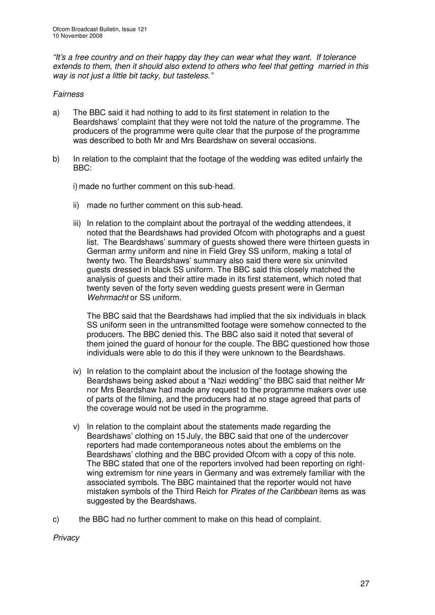*"It's a free country and on their happy day they can wear what they want. If tolerance extends to them, then it should also extend to others who feel that getting married in this way is not just a little bit tacky, but tasteless."*

### *Fairness*

- a) The BBC said it had nothing to add to its first statement in relation to the Beardshaws' complaint that they were not told the nature of the programme. The producers of the programme were quite clear that the purpose of the programme was described to both Mr and Mrs Beardshaw on several occasions.
- b) In relation to the complaint that the footage of the wedding was edited unfairly the BBC:
	- i) made no further comment on this sub-head.
	- ii) made no further comment on this sub-head.
	- iii) In relation to the complaint about the portrayal of the wedding attendees, it noted that the Beardshaws had provided Ofcom with photographs and a guest list. The Beardshaws' summary of guests showed there were thirteen guests in German army uniform and nine in Field Grey SS uniform, making a total of twenty two. The Beardshaws' summary also said there were six uninvited guests dressed in black SS uniform. The BBC said this closely matched the analysis of guests and their attire made in its first statement, which noted that twenty seven of the forty seven wedding guests present were in German *Wehrmacht* or SS uniform.

The BBC said that the Beardshaws had implied that the six individuals in black SS uniform seen in the untransmitted footage were somehow connected to the producers. The BBC denied this. The BBC also said it noted that several of them joined the guard of honour for the couple. The BBC questioned how those individuals were able to do this if they were unknown to the Beardshaws.

- iv) In relation to the complaint about the inclusion of the footage showing the Beardshaws being asked about a "Nazi wedding" the BBC said that neither Mr nor Mrs Beardshaw had made any request to the programme makers over use of parts of the filming, and the producers had at no stage agreed that parts of the coverage would not be used in the programme.
- v) In relation to the complaint about the statements made regarding the Beardshaws' clothing on 15 July, the BBC said that one of the undercover reporters had made contemporaneous notes about the emblems on the Beardshaws' clothing and the BBC provided Ofcom with a copy of this note. The BBC stated that one of the reporters involved had been reporting on rightwing extremism for nine years in Germany and was extremely familiar with the associated symbols. The BBC maintained that the reporter would not have mistaken symbols of the Third Reich for *Pirates of the Caribbean* items as was suggested by the Beardshaws.
- c) the BBC had no further comment to make on this head of complaint.

*Privacy*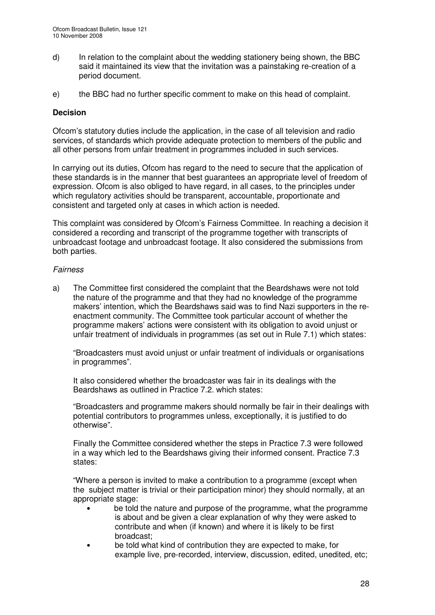- d) In relation to the complaint about the wedding stationery being shown, the BBC said it maintained its view that the invitation was a painstaking re-creation of a period document.
- e) the BBC had no further specific comment to make on this head of complaint.

### **Decision**

Ofcom's statutory duties include the application, in the case of all television and radio services, of standards which provide adequate protection to members of the public and all other persons from unfair treatment in programmes included in such services.

In carrying out its duties, Ofcom has regard to the need to secure that the application of these standards is in the manner that best guarantees an appropriate level of freedom of expression. Ofcom is also obliged to have regard, in all cases, to the principles under which regulatory activities should be transparent, accountable, proportionate and consistent and targeted only at cases in which action is needed.

This complaint was considered by Ofcom's Fairness Committee. In reaching a decision it considered a recording and transcript of the programme together with transcripts of unbroadcast footage and unbroadcast footage. It also considered the submissions from both parties.

### *Fairness*

a) The Committee first considered the complaint that the Beardshaws were not told the nature of the programme and that they had no knowledge of the programme makers' intention, which the Beardshaws said was to find Nazi supporters in the reenactment community. The Committee took particular account of whether the programme makers' actions were consistent with its obligation to avoid unjust or unfair treatment of individuals in programmes (as set out in Rule 7.1) which states:

"Broadcasters must avoid unjust or unfair treatment of individuals or organisations in programmes".

It also considered whether the broadcaster was fair in its dealings with the Beardshaws as outlined in Practice 7.2. which states:

"Broadcasters and programme makers should normally be fair in their dealings with potential contributors to programmes unless, exceptionally, it is justified to do otherwise".

Finally the Committee considered whether the steps in Practice 7.3 were followed in a way which led to the Beardshaws giving their informed consent. Practice 7.3 states:

"Where a person is invited to make a contribution to a programme (except when the subject matter is trivial or their participation minor) they should normally, at an appropriate stage:

- be told the nature and purpose of the programme, what the programme is about and be given a clear explanation of why they were asked to contribute and when (if known) and where it is likely to be first broadcast;
- be told what kind of contribution they are expected to make, for example live, pre-recorded, interview, discussion, edited, unedited, etc;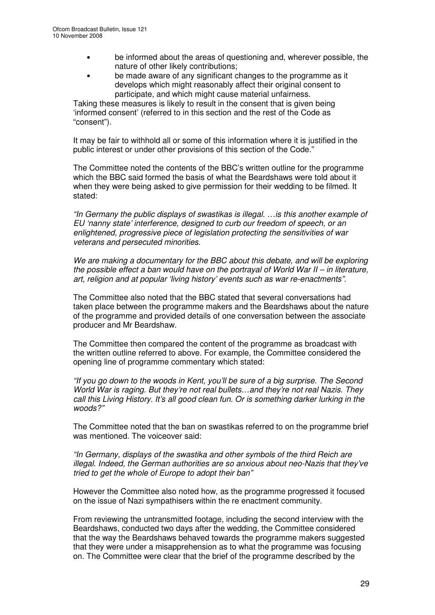- be informed about the areas of questioning and, wherever possible, the nature of other likely contributions;
- be made aware of any significant changes to the programme as it develops which might reasonably affect their original consent to participate, and which might cause material unfairness.

Taking these measures is likely to result in the consent that is given being 'informed consent' (referred to in this section and the rest of the Code as "consent").

It may be fair to withhold all or some of this information where it is justified in the public interest or under other provisions of this section of the Code."

The Committee noted the contents of the BBC's written outline for the programme which the BBC said formed the basis of what the Beardshaws were told about it when they were being asked to give permission for their wedding to be filmed. It stated:

*"In Germany the public displays of swastikas is illegal. …is this another example of EU 'nanny state' interference, designed to curb our freedom of speech, or an enlightened, progressive piece of legislation protecting the sensitivities of war veterans and persecuted minorities.*

*We are making a documentary for the BBC about this debate, and will be exploring the possible effect a ban would have on the portrayal of World War II – in literature, art, religion and at popular 'living history' events such as war re-enactments".*

The Committee also noted that the BBC stated that several conversations had taken place between the programme makers and the Beardshaws about the nature of the programme and provided details of one conversation between the associate producer and Mr Beardshaw.

The Committee then compared the content of the programme as broadcast with the written outline referred to above. For example, the Committee considered the opening line of programme commentary which stated:

*"If you go down to the woods in Kent, you'll be sure of a big surprise. The Second World War is raging. But they're not real bullets…and they're not real Nazis. They call this Living History. It's all good clean fun. Or is something darker lurking in the woods?"*

The Committee noted that the ban on swastikas referred to on the programme brief was mentioned. The voiceover said:

*"In Germany, displays of the swastika and other symbols of the third Reich are illegal. Indeed, the German authorities are so anxious about neo-Nazis that they've tried to get the whole of Europe to adopt their ban"*

However the Committee also noted how, as the programme progressed it focused on the issue of Nazi sympathisers within the re enactment community.

From reviewing the untransmitted footage, including the second interview with the Beardshaws, conducted two days after the wedding, the Committee considered that the way the Beardshaws behaved towards the programme makers suggested that they were under a misapprehension as to what the programme was focusing on. The Committee were clear that the brief of the programme described by the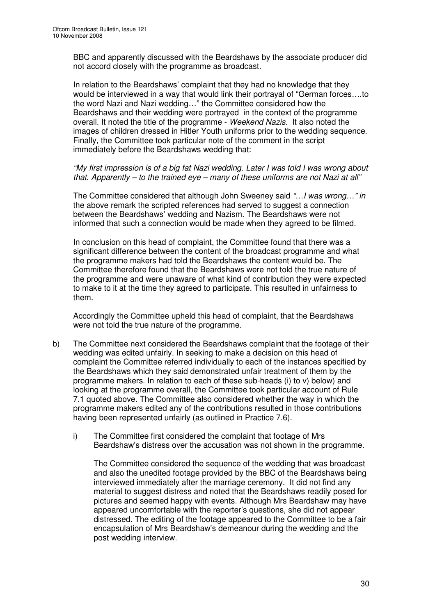BBC and apparently discussed with the Beardshaws by the associate producer did not accord closely with the programme as broadcast.

In relation to the Beardshaws' complaint that they had no knowledge that they would be interviewed in a way that would link their portrayal of "German forces….to the word Nazi and Nazi wedding…" the Committee considered how the Beardshaws and their wedding were portrayed in the context of the programme overall. It noted the title of the programme - *Weekend Nazis.* It also noted the images of children dressed in Hitler Youth uniforms prior to the wedding sequence. Finally, the Committee took particular note of the comment in the script immediately before the Beardshaws wedding that:

*"My first impression is of a big fat Nazi wedding. Later I was told I was wrong about that. Apparently – to the trained eye – many of these uniforms are not Nazi at all"*

The Committee considered that although John Sweeney said *"…I was wrong…" in* the above remark the scripted references had served to suggest a connection between the Beardshaws' wedding and Nazism. The Beardshaws were not informed that such a connection would be made when they agreed to be filmed.

In conclusion on this head of complaint, the Committee found that there was a significant difference between the content of the broadcast programme and what the programme makers had told the Beardshaws the content would be. The Committee therefore found that the Beardshaws were not told the true nature of the programme and were unaware of what kind of contribution they were expected to make to it at the time they agreed to participate. This resulted in unfairness to them.

Accordingly the Committee upheld this head of complaint, that the Beardshaws were not told the true nature of the programme.

- b) The Committee next considered the Beardshaws complaint that the footage of their wedding was edited unfairly. In seeking to make a decision on this head of complaint the Committee referred individually to each of the instances specified by the Beardshaws which they said demonstrated unfair treatment of them by the programme makers. In relation to each of these sub-heads (i) to v) below) and looking at the programme overall, the Committee took particular account of Rule 7.1 quoted above. The Committee also considered whether the way in which the programme makers edited any of the contributions resulted in those contributions having been represented unfairly (as outlined in Practice 7.6).
	- i) The Committee first considered the complaint that footage of Mrs Beardshaw's distress over the accusation was not shown in the programme.

The Committee considered the sequence of the wedding that was broadcast and also the unedited footage provided by the BBC of the Beardshaws being interviewed immediately after the marriage ceremony. It did not find any material to suggest distress and noted that the Beardshaws readily posed for pictures and seemed happy with events. Although Mrs Beardshaw may have appeared uncomfortable with the reporter's questions, she did not appear distressed. The editing of the footage appeared to the Committee to be a fair encapsulation of Mrs Beardshaw's demeanour during the wedding and the post wedding interview.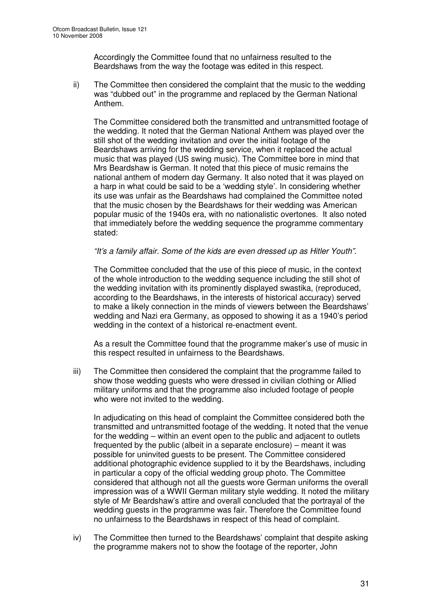Accordingly the Committee found that no unfairness resulted to the Beardshaws from the way the footage was edited in this respect.

ii) The Committee then considered the complaint that the music to the wedding was "dubbed out" in the programme and replaced by the German National Anthem.

The Committee considered both the transmitted and untransmitted footage of the wedding. It noted that the German National Anthem was played over the still shot of the wedding invitation and over the initial footage of the Beardshaws arriving for the wedding service, when it replaced the actual music that was played (US swing music). The Committee bore in mind that Mrs Beardshaw is German. It noted that this piece of music remains the national anthem of modern day Germany. It also noted that it was played on a harp in what could be said to be a 'wedding style'. In considering whether its use was unfair as the Beardshaws had complained the Committee noted that the music chosen by the Beardshaws for their wedding was American popular music of the 1940s era, with no nationalistic overtones. It also noted that immediately before the wedding sequence the programme commentary stated:

### *"It's a family affair. Some of the kids are even dressed up as Hitler Youth".*

The Committee concluded that the use of this piece of music, in the context of the whole introduction to the wedding sequence including the still shot of the wedding invitation with its prominently displayed swastika, (reproduced, according to the Beardshaws, in the interests of historical accuracy) served to make a likely connection in the minds of viewers between the Beardshaws' wedding and Nazi era Germany, as opposed to showing it as a 1940's period wedding in the context of a historical re-enactment event.

As a result the Committee found that the programme maker's use of music in this respect resulted in unfairness to the Beardshaws.

iii) The Committee then considered the complaint that the programme failed to show those wedding guests who were dressed in civilian clothing or Allied military uniforms and that the programme also included footage of people who were not invited to the wedding.

In adjudicating on this head of complaint the Committee considered both the transmitted and untransmitted footage of the wedding. It noted that the venue for the wedding – within an event open to the public and adjacent to outlets frequented by the public (albeit in a separate enclosure) – meant it was possible for uninvited guests to be present. The Committee considered additional photographic evidence supplied to it by the Beardshaws, including in particular a copy of the official wedding group photo. The Committee considered that although not all the guests wore German uniforms the overall impression was of a WWII German military style wedding. It noted the military style of Mr Beardshaw's attire and overall concluded that the portrayal of the wedding guests in the programme was fair. Therefore the Committee found no unfairness to the Beardshaws in respect of this head of complaint.

iv) The Committee then turned to the Beardshaws' complaint that despite asking the programme makers not to show the footage of the reporter, John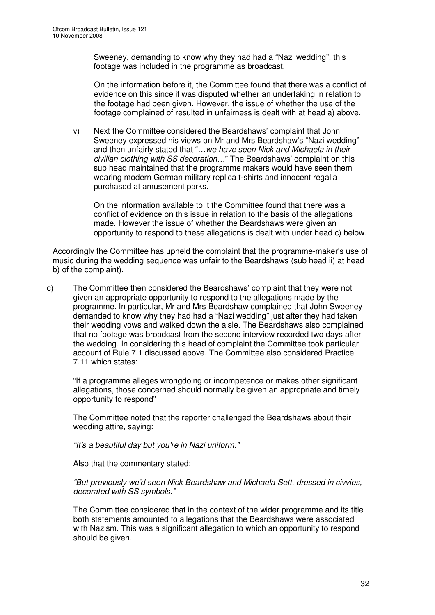Sweeney, demanding to know why they had had a "Nazi wedding", this footage was included in the programme as broadcast.

On the information before it, the Committee found that there was a conflict of evidence on this since it was disputed whether an undertaking in relation to the footage had been given. However, the issue of whether the use of the footage complained of resulted in unfairness is dealt with at head a) above.

v) Next the Committee considered the Beardshaws' complaint that John Sweeney expressed his views on Mr and Mrs Beardshaw's "Nazi wedding" and then unfairly stated that "…*we have seen Nick and Michaela in their civilian clothing with SS decoration…*" The Beardshaws' complaint on this sub head maintained that the programme makers would have seen them wearing modern German military replica t-shirts and innocent regalia purchased at amusement parks.

On the information available to it the Committee found that there was a conflict of evidence on this issue in relation to the basis of the allegations made. However the issue of whether the Beardshaws were given an opportunity to respond to these allegations is dealt with under head c) below.

Accordingly the Committee has upheld the complaint that the programme-maker's use of music during the wedding sequence was unfair to the Beardshaws (sub head ii) at head b) of the complaint).

c) The Committee then considered the Beardshaws' complaint that they were not given an appropriate opportunity to respond to the allegations made by the programme. In particular, Mr and Mrs Beardshaw complained that John Sweeney demanded to know why they had had a "Nazi wedding" just after they had taken their wedding vows and walked down the aisle. The Beardshaws also complained that no footage was broadcast from the second interview recorded two days after the wedding. In considering this head of complaint the Committee took particular account of Rule 7.1 discussed above. The Committee also considered Practice 7.11 which states:

"If a programme alleges wrongdoing or incompetence or makes other significant allegations, those concerned should normally be given an appropriate and timely opportunity to respond"

The Committee noted that the reporter challenged the Beardshaws about their wedding attire, saying:

*"It's a beautiful day but you're in Nazi uniform."*

Also that the commentary stated:

*"But previously we'd seen Nick Beardshaw and Michaela Sett, dressed in civvies, decorated with SS symbols."*

The Committee considered that in the context of the wider programme and its title both statements amounted to allegations that the Beardshaws were associated with Nazism. This was a significant allegation to which an opportunity to respond should be given.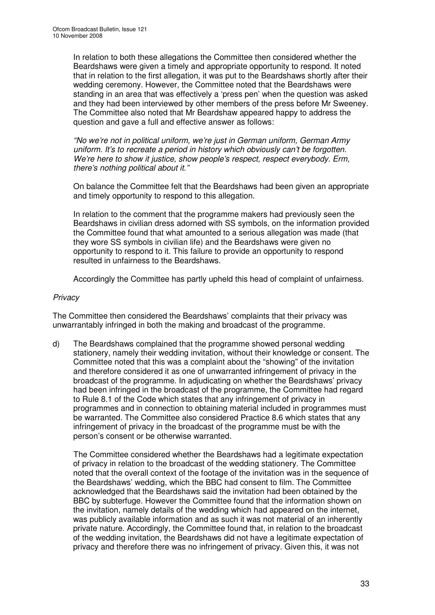In relation to both these allegations the Committee then considered whether the Beardshaws were given a timely and appropriate opportunity to respond. It noted that in relation to the first allegation, it was put to the Beardshaws shortly after their wedding ceremony. However, the Committee noted that the Beardshaws were standing in an area that was effectively a 'press pen' when the question was asked and they had been interviewed by other members of the press before Mr Sweeney. The Committee also noted that Mr Beardshaw appeared happy to address the question and gave a full and effective answer as follows:

*"No we're not in political uniform, we're just in German uniform, German Army uniform. It's to recreate a period in history which obviously can't be forgotten. We're here to show it justice, show people's respect, respect everybody. Erm, there's nothing political about it."*

On balance the Committee felt that the Beardshaws had been given an appropriate and timely opportunity to respond to this allegation.

In relation to the comment that the programme makers had previously seen the Beardshaws in civilian dress adorned with SS symbols, on the information provided the Committee found that what amounted to a serious allegation was made (that they wore SS symbols in civilian life) and the Beardshaws were given no opportunity to respond to it. This failure to provide an opportunity to respond resulted in unfairness to the Beardshaws.

Accordingly the Committee has partly upheld this head of complaint of unfairness.

### *Privacy*

The Committee then considered the Beardshaws' complaints that their privacy was unwarrantably infringed in both the making and broadcast of the programme.

d) The Beardshaws complained that the programme showed personal wedding stationery, namely their wedding invitation, without their knowledge or consent. The Committee noted that this was a complaint about the "showing" of the invitation and therefore considered it as one of unwarranted infringement of privacy in the broadcast of the programme. In adjudicating on whether the Beardshaws' privacy had been infringed in the broadcast of the programme, the Committee had regard to Rule 8.1 of the Code which states that any infringement of privacy in programmes and in connection to obtaining material included in programmes must be warranted. The Committee also considered Practice 8.6 which states that any infringement of privacy in the broadcast of the programme must be with the person's consent or be otherwise warranted.

The Committee considered whether the Beardshaws had a legitimate expectation of privacy in relation to the broadcast of the wedding stationery. The Committee noted that the overall context of the footage of the invitation was in the sequence of the Beardshaws' wedding, which the BBC had consent to film. The Committee acknowledged that the Beardshaws said the invitation had been obtained by the BBC by subterfuge. However the Committee found that the information shown on the invitation, namely details of the wedding which had appeared on the internet, was publicly available information and as such it was not material of an inherently private nature. Accordingly, the Committee found that, in relation to the broadcast of the wedding invitation, the Beardshaws did not have a legitimate expectation of privacy and therefore there was no infringement of privacy. Given this, it was not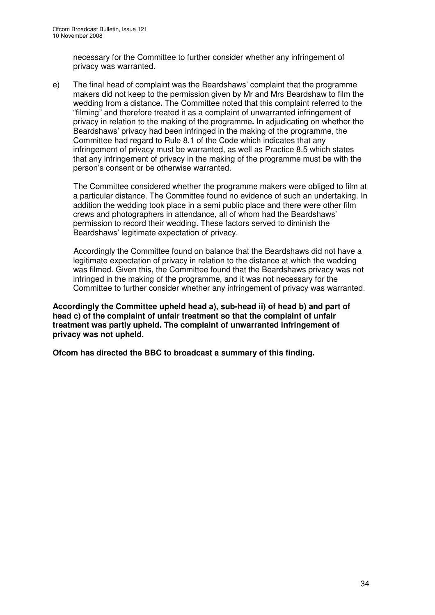necessary for the Committee to further consider whether any infringement of privacy was warranted.

e) The final head of complaint was the Beardshaws' complaint that the programme makers did not keep to the permission given by Mr and Mrs Beardshaw to film the wedding from a distance**.** The Committee noted that this complaint referred to the "filming" and therefore treated it as a complaint of unwarranted infringement of privacy in relation to the making of the programme**.** In adjudicating on whether the Beardshaws' privacy had been infringed in the making of the programme, the Committee had regard to Rule 8.1 of the Code which indicates that any infringement of privacy must be warranted, as well as Practice 8.5 which states that any infringement of privacy in the making of the programme must be with the person's consent or be otherwise warranted.

The Committee considered whether the programme makers were obliged to film at a particular distance. The Committee found no evidence of such an undertaking. In addition the wedding took place in a semi public place and there were other film crews and photographers in attendance, all of whom had the Beardshaws' permission to record their wedding. These factors served to diminish the Beardshaws' legitimate expectation of privacy.

Accordingly the Committee found on balance that the Beardshaws did not have a legitimate expectation of privacy in relation to the distance at which the wedding was filmed. Given this, the Committee found that the Beardshaws privacy was not infringed in the making of the programme, and it was not necessary for the Committee to further consider whether any infringement of privacy was warranted.

**Accordingly the Committee upheld head a), sub-head ii) of head b) and part of head c) of the complaint of unfair treatment so that the complaint of unfair treatment was partly upheld. The complaint of unwarranted infringement of privacy was not upheld.**

**Ofcom has directed the BBC to broadcast a summary of this finding.**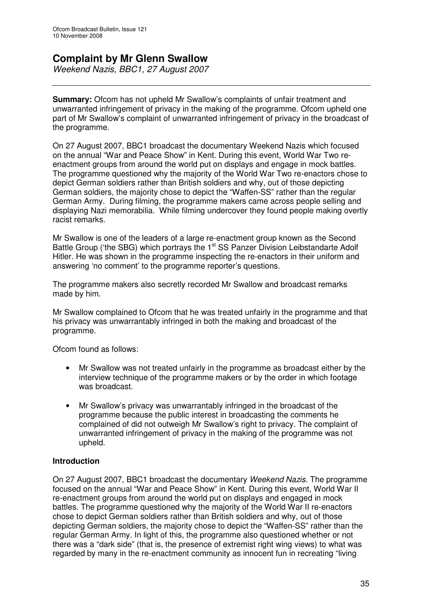# **Complaint by Mr Glenn Swallow**

*Weekend Nazis, BBC1, 27 August 2007*

**Summary:** Ofcom has not upheld Mr Swallow's complaints of unfair treatment and unwarranted infringement of privacy in the making of the programme. Ofcom upheld one part of Mr Swallow's complaint of unwarranted infringement of privacy in the broadcast of the programme.

On 27 August 2007, BBC1 broadcast the documentary Weekend Nazis which focused on the annual "War and Peace Show" in Kent. During this event, World War Two reenactment groups from around the world put on displays and engage in mock battles. The programme questioned why the majority of the World War Two re-enactors chose to depict German soldiers rather than British soldiers and why, out of those depicting German soldiers, the majority chose to depict the "Waffen-SS" rather than the regular German Army. During filming, the programme makers came across people selling and displaying Nazi memorabilia. While filming undercover they found people making overtly racist remarks.

Mr Swallow is one of the leaders of a large re-enactment group known as the Second Battle Group ('the SBG) which portrays the 1<sup>st</sup> SS Panzer Division Leibstandarte Adolf Hitler. He was shown in the programme inspecting the re-enactors in their uniform and answering 'no comment' to the programme reporter's questions.

The programme makers also secretly recorded Mr Swallow and broadcast remarks made by him.

Mr Swallow complained to Ofcom that he was treated unfairly in the programme and that his privacy was unwarrantably infringed in both the making and broadcast of the programme.

Ofcom found as follows:

- Mr Swallow was not treated unfairly in the programme as broadcast either by the interview technique of the programme makers or by the order in which footage was broadcast.
- Mr Swallow's privacy was unwarrantably infringed in the broadcast of the programme because the public interest in broadcasting the comments he complained of did not outweigh Mr Swallow's right to privacy. The complaint of unwarranted infringement of privacy in the making of the programme was not upheld.

### **Introduction**

On 27 August 2007, BBC1 broadcast the documentary *Weekend Nazis.* The programme focused on the annual "War and Peace Show" in Kent. During this event, World War II re-enactment groups from around the world put on displays and engaged in mock battles. The programme questioned why the majority of the World War II re-enactors chose to depict German soldiers rather than British soldiers and why, out of those depicting German soldiers, the majority chose to depict the "Waffen-SS" rather than the regular German Army. In light of this, the programme also questioned whether or not there was a "dark side" (that is, the presence of extremist right wing views) to what was regarded by many in the re-enactment community as innocent fun in recreating "living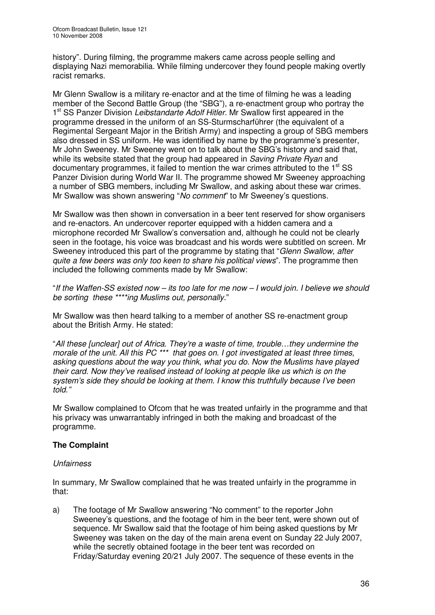history". During filming, the programme makers came across people selling and displaying Nazi memorabilia. While filming undercover they found people making overtly racist remarks.

Mr Glenn Swallow is a military re-enactor and at the time of filming he was a leading member of the Second Battle Group (the "SBG"), a re-enactment group who portray the 1 st SS Panzer Division *Leibstandarte Adolf Hitler.* Mr Swallow first appeared in the programme dressed in the uniform of an SS-Sturmscharführer (the equivalent of a Regimental Sergeant Major in the British Army) and inspecting a group of SBG members also dressed in SS uniform. He was identified by name by the programme's presenter, Mr John Sweeney. Mr Sweeney went on to talk about the SBG's history and said that, while its website stated that the group had appeared in *Saving Private Ryan* and documentary programmes, it failed to mention the war crimes attributed to the 1<sup>st</sup> SS Panzer Division during World War II. The programme showed Mr Sweeney approaching a number of SBG members, including Mr Swallow, and asking about these war crimes. Mr Swallow was shown answering "*No comment*" to Mr Sweeney's questions.

Mr Swallow was then shown in conversation in a beer tent reserved for show organisers and re-enactors. An undercover reporter equipped with a hidden camera and a microphone recorded Mr Swallow's conversation and, although he could not be clearly seen in the footage, his voice was broadcast and his words were subtitled on screen. Mr Sweeney introduced this part of the programme by stating that "*Glenn Swallow, after quite a few beers was only too keen to share his political views*". The programme then included the following comments made by Mr Swallow:

"If the Waffen-SS existed now – its too late for me now – I would join. I believe we should *be sorting these \*\*\*\*ing Muslims out, personally*."

Mr Swallow was then heard talking to a member of another SS re-enactment group about the British Army. He stated:

"*All these [unclear] out of Africa. They're a waste of time, trouble…they undermine the morale of the unit. All this PC \*\*\* that goes on. I got investigated at least three times, asking questions about the way you think, what you do. Now the Muslims have played their card. Now they've realised instead of looking at people like us which is on the system's side they should be looking at them. I know this truthfully because I've been told."*

Mr Swallow complained to Ofcom that he was treated unfairly in the programme and that his privacy was unwarrantably infringed in both the making and broadcast of the programme.

### **The Complaint**

### *Unfairness*

In summary, Mr Swallow complained that he was treated unfairly in the programme in that:

a) The footage of Mr Swallow answering "No comment" to the reporter John Sweeney's questions, and the footage of him in the beer tent, were shown out of sequence. Mr Swallow said that the footage of him being asked questions by Mr Sweeney was taken on the day of the main arena event on Sunday 22 July 2007, while the secretly obtained footage in the beer tent was recorded on Friday/Saturday evening 20/21 July 2007. The sequence of these events in the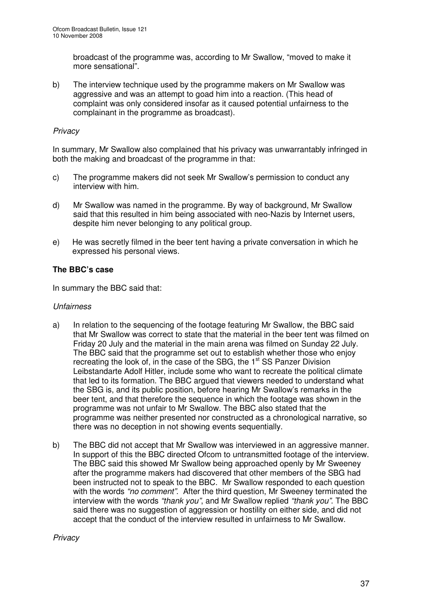broadcast of the programme was, according to Mr Swallow, "moved to make it more sensational".

b) The interview technique used by the programme makers on Mr Swallow was aggressive and was an attempt to goad him into a reaction. (This head of complaint was only considered insofar as it caused potential unfairness to the complainant in the programme as broadcast).

### *Privacy*

In summary, Mr Swallow also complained that his privacy was unwarrantably infringed in both the making and broadcast of the programme in that:

- c) The programme makers did not seek Mr Swallow's permission to conduct any interview with him.
- d) Mr Swallow was named in the programme. By way of background, Mr Swallow said that this resulted in him being associated with neo-Nazis by Internet users, despite him never belonging to any political group.
- e) He was secretly filmed in the beer tent having a private conversation in which he expressed his personal views.

### **The BBC's case**

In summary the BBC said that:

### *Unfairness*

- a) In relation to the sequencing of the footage featuring Mr Swallow, the BBC said that Mr Swallow was correct to state that the material in the beer tent was filmed on Friday 20 July and the material in the main arena was filmed on Sunday 22 July. The BBC said that the programme set out to establish whether those who enjoy recreating the look of, in the case of the SBG, the 1<sup>st</sup> SS Panzer Division Leibstandarte Adolf Hitler, include some who want to recreate the political climate that led to its formation. The BBC argued that viewers needed to understand what the SBG is, and its public position, before hearing Mr Swallow's remarks in the beer tent, and that therefore the sequence in which the footage was shown in the programme was not unfair to Mr Swallow. The BBC also stated that the programme was neither presented nor constructed as a chronological narrative, so there was no deception in not showing events sequentially.
- b) The BBC did not accept that Mr Swallow was interviewed in an aggressive manner. In support of this the BBC directed Ofcom to untransmitted footage of the interview. The BBC said this showed Mr Swallow being approached openly by Mr Sweeney after the programme makers had discovered that other members of the SBG had been instructed not to speak to the BBC. Mr Swallow responded to each question with the words *"no comment"*. After the third question, Mr Sweeney terminated the interview with the words *"thank you"*, and Mr Swallow replied *"thank you"*. The BBC said there was no suggestion of aggression or hostility on either side, and did not accept that the conduct of the interview resulted in unfairness to Mr Swallow.

### *Privacy*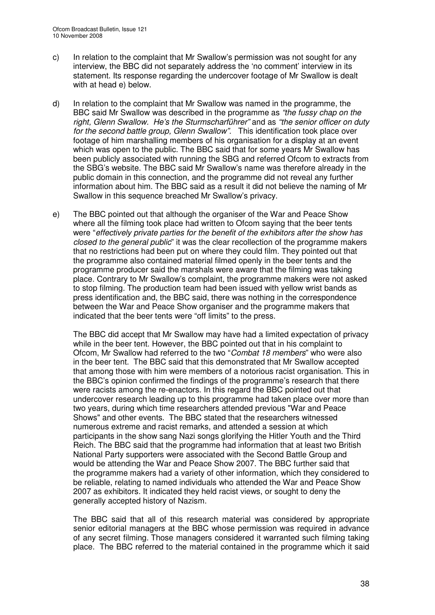- c) In relation to the complaint that Mr Swallow's permission was not sought for any interview, the BBC did not separately address the 'no comment' interview in its statement. Its response regarding the undercover footage of Mr Swallow is dealt with at head e) below.
- d) In relation to the complaint that Mr Swallow was named in the programme, the BBC said Mr Swallow was described in the programme as *"the fussy chap on the right, Glenn Swallow. He's the Sturmscharführer"* and as *"the senior officer on duty for the second battle group, Glenn Swallow".* This identification took place over footage of him marshalling members of his organisation for a display at an event which was open to the public. The BBC said that for some years Mr Swallow has been publicly associated with running the SBG and referred Ofcom to extracts from the SBG's website. The BBC said Mr Swallow's name was therefore already in the public domain in this connection, and the programme did not reveal any further information about him. The BBC said as a result it did not believe the naming of Mr Swallow in this sequence breached Mr Swallow's privacy.
- e) The BBC pointed out that although the organiser of the War and Peace Show where all the filming took place had written to Ofcom saying that the beer tents were "*effectively private parties for the benefit of the exhibitors after the show has closed to the general public*" it was the clear recollection of the programme makers that no restrictions had been put on where they could film. They pointed out that the programme also contained material filmed openly in the beer tents and the programme producer said the marshals were aware that the filming was taking place. Contrary to Mr Swallow's complaint, the programme makers were not asked to stop filming. The production team had been issued with yellow wrist bands as press identification and, the BBC said, there was nothing in the correspondence between the War and Peace Show organiser and the programme makers that indicated that the beer tents were "off limits" to the press.

The BBC did accept that Mr Swallow may have had a limited expectation of privacy while in the beer tent. However, the BBC pointed out that in his complaint to Ofcom, Mr Swallow had referred to the two "*Combat 18 members*" who were also in the beer tent. The BBC said that this demonstrated that Mr Swallow accepted that among those with him were members of a notorious racist organisation. This in the BBC's opinion confirmed the findings of the programme's research that there were racists among the re-enactors. In this regard the BBC pointed out that undercover research leading up to this programme had taken place over more than two years, during which time researchers attended previous "War and Peace Shows" and other events. The BBC stated that the researchers witnessed numerous extreme and racist remarks, and attended a session at which participants in the show sang Nazi songs glorifying the Hitler Youth and the Third Reich. The BBC said that the programme had information that at least two British National Party supporters were associated with the Second Battle Group and would be attending the War and Peace Show 2007. The BBC further said that the programme makers had a variety of other information, which they considered to be reliable, relating to named individuals who attended the War and Peace Show 2007 as exhibitors. It indicated they held racist views, or sought to deny the generally accepted history of Nazism.

The BBC said that all of this research material was considered by appropriate senior editorial managers at the BBC whose permission was required in advance of any secret filming. Those managers considered it warranted such filming taking place. The BBC referred to the material contained in the programme which it said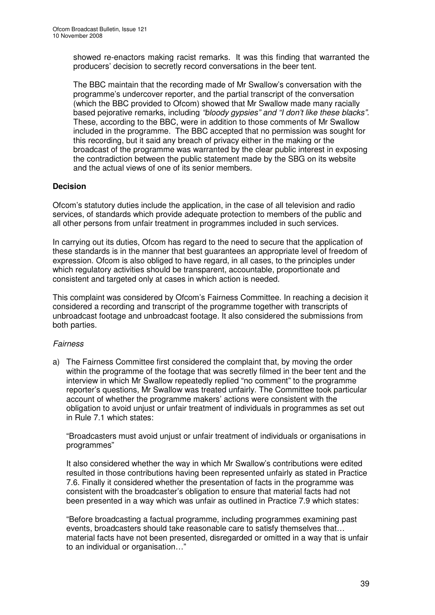showed re-enactors making racist remarks. It was this finding that warranted the producers' decision to secretly record conversations in the beer tent.

The BBC maintain that the recording made of Mr Swallow's conversation with the programme's undercover reporter, and the partial transcript of the conversation (which the BBC provided to Ofcom) showed that Mr Swallow made many racially based pejorative remarks, including *"bloody gypsies" and "I don't like these blacks".* These, according to the BBC, were in addition to those comments of Mr Swallow included in the programme. The BBC accepted that no permission was sought for this recording, but it said any breach of privacy either in the making or the broadcast of the programme was warranted by the clear public interest in exposing the contradiction between the public statement made by the SBG on its website and the actual views of one of its senior members.

### **Decision**

Ofcom's statutory duties include the application, in the case of all television and radio services, of standards which provide adequate protection to members of the public and all other persons from unfair treatment in programmes included in such services.

In carrying out its duties, Ofcom has regard to the need to secure that the application of these standards is in the manner that best guarantees an appropriate level of freedom of expression. Ofcom is also obliged to have regard, in all cases, to the principles under which regulatory activities should be transparent, accountable, proportionate and consistent and targeted only at cases in which action is needed.

This complaint was considered by Ofcom's Fairness Committee. In reaching a decision it considered a recording and transcript of the programme together with transcripts of unbroadcast footage and unbroadcast footage. It also considered the submissions from both parties.

### *Fairness*

a) The Fairness Committee first considered the complaint that, by moving the order within the programme of the footage that was secretly filmed in the beer tent and the interview in which Mr Swallow repeatedly replied "no comment" to the programme reporter's questions, Mr Swallow was treated unfairly. The Committee took particular account of whether the programme makers' actions were consistent with the obligation to avoid unjust or unfair treatment of individuals in programmes as set out in Rule 7.1 which states:

"Broadcasters must avoid unjust or unfair treatment of individuals or organisations in programmes"

It also considered whether the way in which Mr Swallow's contributions were edited resulted in those contributions having been represented unfairly as stated in Practice 7.6. Finally it considered whether the presentation of facts in the programme was consistent with the broadcaster's obligation to ensure that material facts had not been presented in a way which was unfair as outlined in Practice 7.9 which states:

"Before broadcasting a factual programme, including programmes examining past events, broadcasters should take reasonable care to satisfy themselves that… material facts have not been presented, disregarded or omitted in a way that is unfair to an individual or organisation…"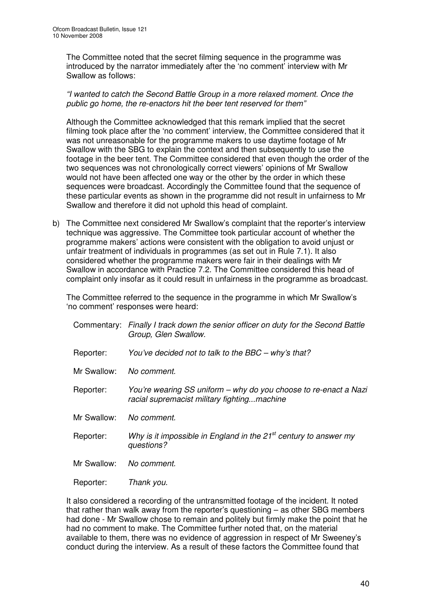The Committee noted that the secret filming sequence in the programme was introduced by the narrator immediately after the 'no comment' interview with Mr Swallow as follows:

### *"I wanted to catch the Second Battle Group in a more relaxed moment. Once the public go home, the re-enactors hit the beer tent reserved for them"*

Although the Committee acknowledged that this remark implied that the secret filming took place after the 'no comment' interview, the Committee considered that it was not unreasonable for the programme makers to use daytime footage of Mr Swallow with the SBG to explain the context and then subsequently to use the footage in the beer tent. The Committee considered that even though the order of the two sequences was not chronologically correct viewers' opinions of Mr Swallow would not have been affected one way or the other by the order in which these sequences were broadcast. Accordingly the Committee found that the sequence of these particular events as shown in the programme did not result in unfairness to Mr Swallow and therefore it did not uphold this head of complaint.

b) The Committee next considered Mr Swallow's complaint that the reporter's interview technique was aggressive. The Committee took particular account of whether the programme makers' actions were consistent with the obligation to avoid unjust or unfair treatment of individuals in programmes (as set out in Rule 7.1). It also considered whether the programme makers were fair in their dealings with Mr Swallow in accordance with Practice 7.2. The Committee considered this head of complaint only insofar as it could result in unfairness in the programme as broadcast.

The Committee referred to the sequence in the programme in which Mr Swallow's 'no comment' responses were heard:

|             | Commentary: Finally I track down the senior officer on duty for the Second Battle<br>Group, Glen Swallow.       |
|-------------|-----------------------------------------------------------------------------------------------------------------|
| Reporter:   | You've decided not to talk to the BBC – why's that?                                                             |
| Mr Swallow: | No comment.                                                                                                     |
| Reporter:   | You're wearing SS uniform – why do you choose to re-enact a Nazi<br>racial supremacist military fightingmachine |
| Mr Swallow: | No comment.                                                                                                     |
| Reporter:   | Why is it impossible in England in the $21st$ century to answer my<br>questions?                                |
| Mr Swallow: | No comment.                                                                                                     |
| Reporter:   | Thank you.                                                                                                      |

It also considered a recording of the untransmitted footage of the incident. It noted that rather than walk away from the reporter's questioning – as other SBG members had done - Mr Swallow chose to remain and politely but firmly make the point that he had no comment to make. The Committee further noted that, on the material available to them, there was no evidence of aggression in respect of Mr Sweeney's conduct during the interview. As a result of these factors the Committee found that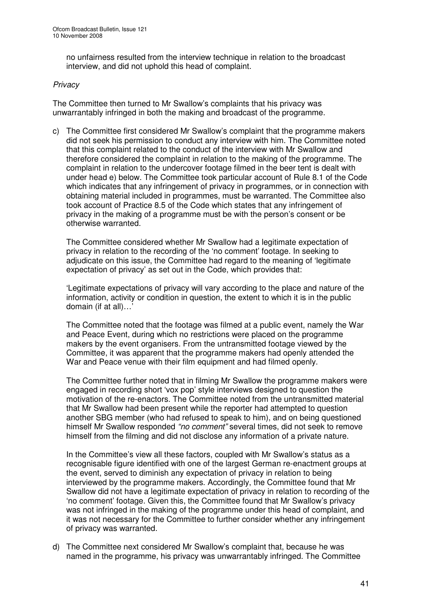no unfairness resulted from the interview technique in relation to the broadcast interview, and did not uphold this head of complaint.

### *Privacy*

The Committee then turned to Mr Swallow's complaints that his privacy was unwarrantably infringed in both the making and broadcast of the programme.

c) The Committee first considered Mr Swallow's complaint that the programme makers did not seek his permission to conduct any interview with him. The Committee noted that this complaint related to the conduct of the interview with Mr Swallow and therefore considered the complaint in relation to the making of the programme. The complaint in relation to the undercover footage filmed in the beer tent is dealt with under head e) below. The Committee took particular account of Rule 8.1 of the Code which indicates that any infringement of privacy in programmes, or in connection with obtaining material included in programmes, must be warranted. The Committee also took account of Practice 8.5 of the Code which states that any infringement of privacy in the making of a programme must be with the person's consent or be otherwise warranted.

The Committee considered whether Mr Swallow had a legitimate expectation of privacy in relation to the recording of the 'no comment' footage. In seeking to adjudicate on this issue, the Committee had regard to the meaning of 'legitimate expectation of privacy' as set out in the Code, which provides that:

'Legitimate expectations of privacy will vary according to the place and nature of the information, activity or condition in question, the extent to which it is in the public domain (if at all)…'

The Committee noted that the footage was filmed at a public event, namely the War and Peace Event, during which no restrictions were placed on the programme makers by the event organisers. From the untransmitted footage viewed by the Committee, it was apparent that the programme makers had openly attended the War and Peace venue with their film equipment and had filmed openly.

The Committee further noted that in filming Mr Swallow the programme makers were engaged in recording short 'vox pop' style interviews designed to question the motivation of the re-enactors. The Committee noted from the untransmitted material that Mr Swallow had been present while the reporter had attempted to question another SBG member (who had refused to speak to him), and on being questioned himself Mr Swallow responded *"no comment"* several times, did not seek to remove himself from the filming and did not disclose any information of a private nature.

In the Committee's view all these factors, coupled with Mr Swallow's status as a recognisable figure identified with one of the largest German re-enactment groups at the event, served to diminish any expectation of privacy in relation to being interviewed by the programme makers. Accordingly, the Committee found that Mr Swallow did not have a legitimate expectation of privacy in relation to recording of the 'no comment' footage. Given this, the Committee found that Mr Swallow's privacy was not infringed in the making of the programme under this head of complaint, and it was not necessary for the Committee to further consider whether any infringement of privacy was warranted.

d) The Committee next considered Mr Swallow's complaint that, because he was named in the programme, his privacy was unwarrantably infringed. The Committee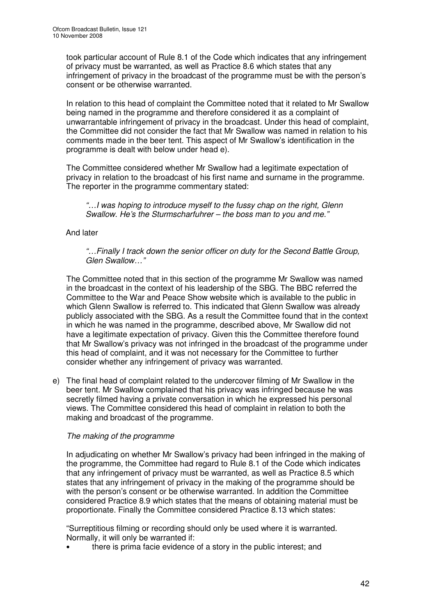took particular account of Rule 8.1 of the Code which indicates that any infringement of privacy must be warranted, as well as Practice 8.6 which states that any infringement of privacy in the broadcast of the programme must be with the person's consent or be otherwise warranted.

In relation to this head of complaint the Committee noted that it related to Mr Swallow being named in the programme and therefore considered it as a complaint of unwarrantable infringement of privacy in the broadcast. Under this head of complaint, the Committee did not consider the fact that Mr Swallow was named in relation to his comments made in the beer tent. This aspect of Mr Swallow's identification in the programme is dealt with below under head e).

The Committee considered whether Mr Swallow had a legitimate expectation of privacy in relation to the broadcast of his first name and surname in the programme. The reporter in the programme commentary stated:

*"…I was hoping to introduce myself to the fussy chap on the right, Glenn Swallow. He's the Sturmscharfuhrer – the boss man to you and me."*

### And later

*"…Finally I track down the senior officer on duty for the Second Battle Group, Glen Swallow…"*

The Committee noted that in this section of the programme Mr Swallow was named in the broadcast in the context of his leadership of the SBG. The BBC referred the Committee to the War and Peace Show website which is available to the public in which Glenn Swallow is referred to. This indicated that Glenn Swallow was already publicly associated with the SBG. As a result the Committee found that in the context in which he was named in the programme, described above, Mr Swallow did not have a legitimate expectation of privacy. Given this the Committee therefore found that Mr Swallow's privacy was not infringed in the broadcast of the programme under this head of complaint, and it was not necessary for the Committee to further consider whether any infringement of privacy was warranted.

e) The final head of complaint related to the undercover filming of Mr Swallow in the beer tent. Mr Swallow complained that his privacy was infringed because he was secretly filmed having a private conversation in which he expressed his personal views. The Committee considered this head of complaint in relation to both the making and broadcast of the programme.

### *The making of the programme*

In adjudicating on whether Mr Swallow's privacy had been infringed in the making of the programme, the Committee had regard to Rule 8.1 of the Code which indicates that any infringement of privacy must be warranted, as well as Practice 8.5 which states that any infringement of privacy in the making of the programme should be with the person's consent or be otherwise warranted. In addition the Committee considered Practice 8.9 which states that the means of obtaining material must be proportionate. Finally the Committee considered Practice 8.13 which states:

"Surreptitious filming or recording should only be used where it is warranted. Normally, it will only be warranted if:

• there is prima facie evidence of a story in the public interest; and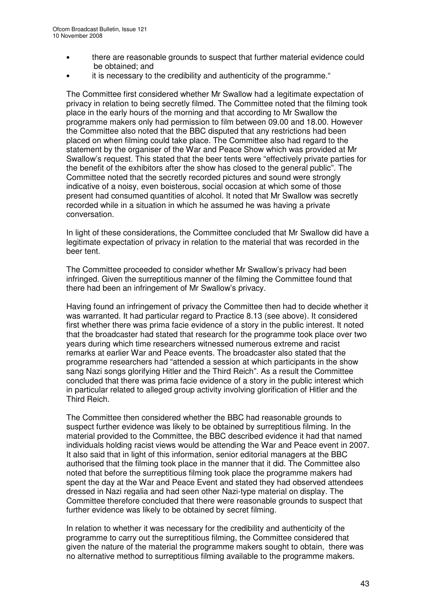- there are reasonable grounds to suspect that further material evidence could be obtained; and
- it is necessary to the credibility and authenticity of the programme."

The Committee first considered whether Mr Swallow had a legitimate expectation of privacy in relation to being secretly filmed. The Committee noted that the filming took place in the early hours of the morning and that according to Mr Swallow the programme makers only had permission to film between 09.00 and 18.00. However the Committee also noted that the BBC disputed that any restrictions had been placed on when filming could take place. The Committee also had regard to the statement by the organiser of the War and Peace Show which was provided at Mr Swallow's request. This stated that the beer tents were "effectively private parties for the benefit of the exhibitors after the show has closed to the general public". The Committee noted that the secretly recorded pictures and sound were strongly indicative of a noisy, even boisterous, social occasion at which some of those present had consumed quantities of alcohol. It noted that Mr Swallow was secretly recorded while in a situation in which he assumed he was having a private conversation.

In light of these considerations, the Committee concluded that Mr Swallow did have a legitimate expectation of privacy in relation to the material that was recorded in the beer tent.

The Committee proceeded to consider whether Mr Swallow's privacy had been infringed. Given the surreptitious manner of the filming the Committee found that there had been an infringement of Mr Swallow's privacy.

Having found an infringement of privacy the Committee then had to decide whether it was warranted. It had particular regard to Practice 8.13 (see above). It considered first whether there was prima facie evidence of a story in the public interest. It noted that the broadcaster had stated that research for the programme took place over two years during which time researchers witnessed numerous extreme and racist remarks at earlier War and Peace events. The broadcaster also stated that the programme researchers had "attended a session at which participants in the show sang Nazi songs glorifying Hitler and the Third Reich". As a result the Committee concluded that there was prima facie evidence of a story in the public interest which in particular related to alleged group activity involving glorification of Hitler and the Third Reich.

The Committee then considered whether the BBC had reasonable grounds to suspect further evidence was likely to be obtained by surreptitious filming. In the material provided to the Committee, the BBC described evidence it had that named individuals holding racist views would be attending the War and Peace event in 2007. It also said that in light of this information, senior editorial managers at the BBC authorised that the filming took place in the manner that it did. The Committee also noted that before the surreptitious filming took place the programme makers had spent the day at the War and Peace Event and stated they had observed attendees dressed in Nazi regalia and had seen other Nazi-type material on display. The Committee therefore concluded that there were reasonable grounds to suspect that further evidence was likely to be obtained by secret filming.

In relation to whether it was necessary for the credibility and authenticity of the programme to carry out the surreptitious filming, the Committee considered that given the nature of the material the programme makers sought to obtain, there was no alternative method to surreptitious filming available to the programme makers.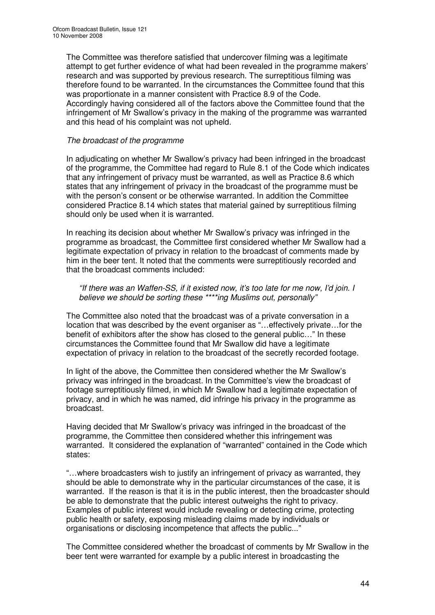The Committee was therefore satisfied that undercover filming was a legitimate attempt to get further evidence of what had been revealed in the programme makers' research and was supported by previous research. The surreptitious filming was therefore found to be warranted. In the circumstances the Committee found that this was proportionate in a manner consistent with Practice 8.9 of the Code. Accordingly having considered all of the factors above the Committee found that the infringement of Mr Swallow's privacy in the making of the programme was warranted and this head of his complaint was not upheld.

### *The broadcast of the programme*

In adjudicating on whether Mr Swallow's privacy had been infringed in the broadcast of the programme, the Committee had regard to Rule 8.1 of the Code which indicates that any infringement of privacy must be warranted, as well as Practice 8.6 which states that any infringement of privacy in the broadcast of the programme must be with the person's consent or be otherwise warranted. In addition the Committee considered Practice 8.14 which states that material gained by surreptitious filming should only be used when it is warranted.

In reaching its decision about whether Mr Swallow's privacy was infringed in the programme as broadcast, the Committee first considered whether Mr Swallow had a legitimate expectation of privacy in relation to the broadcast of comments made by him in the beer tent. It noted that the comments were surreptitiously recorded and that the broadcast comments included:

### *"If there was an Waffen-SS, if it existed now, it's too late for me now, I'd join. I believe we should be sorting these \*\*\*\*ing Muslims out, personally"*

The Committee also noted that the broadcast was of a private conversation in a location that was described by the event organiser as "…effectively private…for the benefit of exhibitors after the show has closed to the general public…" In these circumstances the Committee found that Mr Swallow did have a legitimate expectation of privacy in relation to the broadcast of the secretly recorded footage.

In light of the above, the Committee then considered whether the Mr Swallow's privacy was infringed in the broadcast. In the Committee's view the broadcast of footage surreptitiously filmed, in which Mr Swallow had a legitimate expectation of privacy, and in which he was named, did infringe his privacy in the programme as broadcast.

Having decided that Mr Swallow's privacy was infringed in the broadcast of the programme, the Committee then considered whether this infringement was warranted. It considered the explanation of "warranted" contained in the Code which states:

"…where broadcasters wish to justify an infringement of privacy as warranted, they should be able to demonstrate why in the particular circumstances of the case, it is warranted. If the reason is that it is in the public interest, then the broadcaster should be able to demonstrate that the public interest outweighs the right to privacy. Examples of public interest would include revealing or detecting crime, protecting public health or safety, exposing misleading claims made by individuals or organisations or disclosing incompetence that affects the public..."

The Committee considered whether the broadcast of comments by Mr Swallow in the beer tent were warranted for example by a public interest in broadcasting the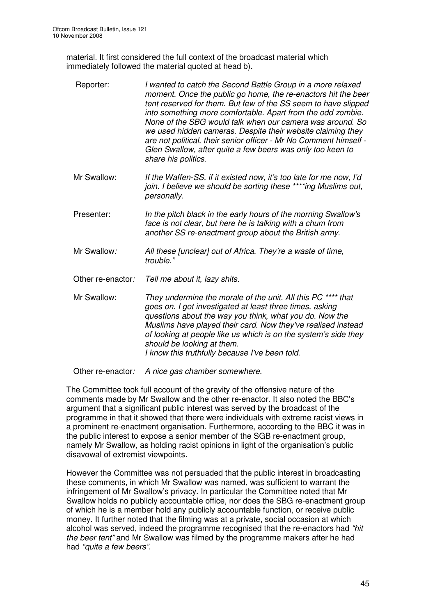material. It first considered the full context of the broadcast material which immediately followed the material quoted at head b).

| Reporter:         | I wanted to catch the Second Battle Group in a more relaxed<br>moment. Once the public go home, the re-enactors hit the beer<br>tent reserved for them. But few of the SS seem to have slipped<br>into something more comfortable. Apart from the odd zombie.<br>None of the SBG would talk when our camera was around. So<br>we used hidden cameras. Despite their website claiming they<br>are not political, their senior officer - Mr No Comment himself -<br>Glen Swallow, after quite a few beers was only too keen to<br>share his politics. |
|-------------------|-----------------------------------------------------------------------------------------------------------------------------------------------------------------------------------------------------------------------------------------------------------------------------------------------------------------------------------------------------------------------------------------------------------------------------------------------------------------------------------------------------------------------------------------------------|
| Mr Swallow:       | If the Waffen-SS, if it existed now, it's too late for me now, I'd<br>join. I believe we should be sorting these ****ing Muslims out,<br>personally.                                                                                                                                                                                                                                                                                                                                                                                                |
| Presenter:        | In the pitch black in the early hours of the morning Swallow's<br>face is not clear, but here he is talking with a chum from<br>another SS re-enactment group about the British army.                                                                                                                                                                                                                                                                                                                                                               |
| Mr Swallow:       | All these [unclear] out of Africa. They're a waste of time,<br>trouble."                                                                                                                                                                                                                                                                                                                                                                                                                                                                            |
| Other re-enactor: | Tell me about it, lazy shits.                                                                                                                                                                                                                                                                                                                                                                                                                                                                                                                       |
| Mr Swallow:       | They undermine the morale of the unit. All this PC **** that<br>goes on. I got investigated at least three times, asking<br>questions about the way you think, what you do. Now the<br>Muslims have played their card. Now they've realised instead<br>of looking at people like us which is on the system's side they<br>should be looking at them.<br>I know this truthfully because I've been told.                                                                                                                                              |

Other re-enactor*: A nice gas chamber somewhere.*

The Committee took full account of the gravity of the offensive nature of the comments made by Mr Swallow and the other re-enactor. It also noted the BBC's argument that a significant public interest was served by the broadcast of the programme in that it showed that there were individuals with extreme racist views in a prominent re-enactment organisation. Furthermore, according to the BBC it was in the public interest to expose a senior member of the SGB re-enactment group, namely Mr Swallow, as holding racist opinions in light of the organisation's public disavowal of extremist viewpoints.

However the Committee was not persuaded that the public interest in broadcasting these comments, in which Mr Swallow was named, was sufficient to warrant the infringement of Mr Swallow's privacy. In particular the Committee noted that Mr Swallow holds no publicly accountable office, nor does the SBG re-enactment group of which he is a member hold any publicly accountable function, or receive public money. It further noted that the filming was at a private, social occasion at which alcohol was served, indeed the programme recognised that the re-enactors had *"hit the beer tent"* and Mr Swallow was filmed by the programme makers after he had had *"quite a few beers"*.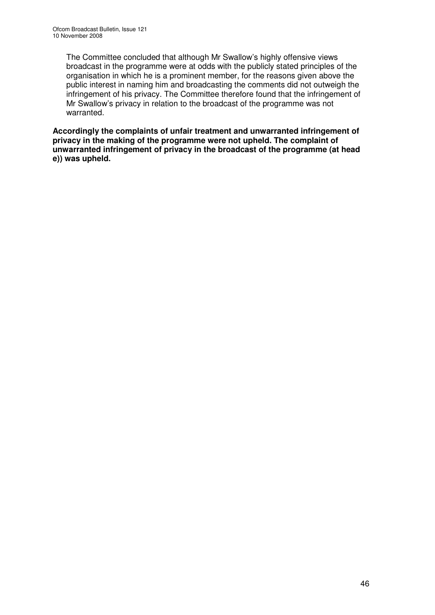The Committee concluded that although Mr Swallow's highly offensive views broadcast in the programme were at odds with the publicly stated principles of the organisation in which he is a prominent member, for the reasons given above the public interest in naming him and broadcasting the comments did not outweigh the infringement of his privacy. The Committee therefore found that the infringement of Mr Swallow's privacy in relation to the broadcast of the programme was not warranted.

**Accordingly the complaints of unfair treatment and unwarranted infringement of privacy in the making of the programme were not upheld. The complaint of unwarranted infringement of privacy in the broadcast of the programme (at head e)) was upheld.**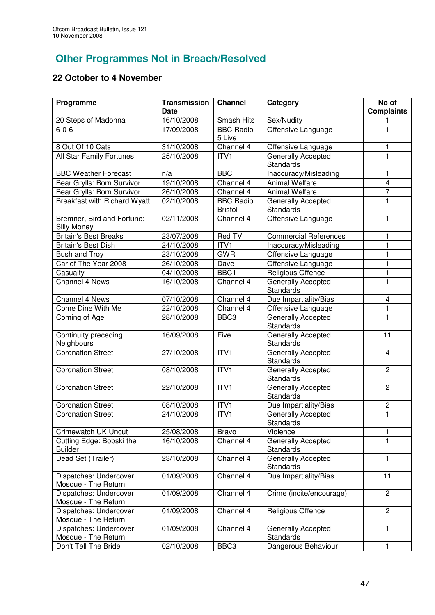# **Other Programmes Not in Breach/Resolved**

# **22 October to 4 November**

| Programme                                     | <b>Transmission</b><br>Date | <b>Channel</b>                     | Category                                      | No of<br><b>Complaints</b> |
|-----------------------------------------------|-----------------------------|------------------------------------|-----------------------------------------------|----------------------------|
| 20 Steps of Madonna                           | 16/10/2008                  | Smash Hits                         | Sex/Nudity                                    |                            |
| $6 - 0 - 6$                                   | 17/09/2008                  | <b>BBC Radio</b><br>5 Live         | Offensive Language                            | $\mathbf{1}$               |
| 8 Out Of 10 Cats                              | 31/10/2008                  | Channel 4                          | Offensive Language                            | 1                          |
| All Star Family Fortunes                      | 25/10/2008                  | ITV1                               | Generally Accepted<br><b>Standards</b>        | 1                          |
| <b>BBC Weather Forecast</b>                   | n/a                         | <b>BBC</b>                         | Inaccuracy/Misleading                         | 1                          |
| Bear Grylls: Born Survivor                    | 19/10/2008                  | Channel 4                          | <b>Animal Welfare</b>                         | $\overline{\mathbf{4}}$    |
| Bear Grylls: Born Survivor                    | 26/10/2008                  | Channel 4                          | <b>Animal Welfare</b>                         | $\overline{7}$             |
| <b>Breakfast with Richard Wyatt</b>           | 02/10/2008                  | <b>BBC Radio</b><br><b>Bristol</b> | <b>Generally Accepted</b><br><b>Standards</b> | 1                          |
| Bremner, Bird and Fortune:<br>Silly Money     | 02/11/2008                  | Channel 4                          | Offensive Language                            | $\mathbf{1}$               |
| <b>Britain's Best Breaks</b>                  | 23/07/2008                  | Red TV                             | <b>Commercial References</b>                  | 1                          |
| <b>Britain's Best Dish</b>                    | 24/10/2008                  | ITV1                               | Inaccuracy/Misleading                         | $\mathbf{1}$               |
| <b>Bush and Troy</b>                          | 23/10/2008                  | <b>GWR</b>                         | Offensive Language                            | $\overline{1}$             |
| Car of The Year 2008                          | 26/10/2008                  | Dave                               | Offensive Language                            | $\mathbf{1}$               |
| Casualty                                      | 04/10/2008                  | BBC1                               | Religious Offence                             | 1                          |
| Channel 4 News                                | 16/10/2008                  | Channel 4                          | <b>Generally Accepted</b><br><b>Standards</b> | $\mathbf{1}$               |
| Channel 4 News                                | 07/10/2008                  | Channel 4                          | Due Impartiality/Bias                         | $\overline{4}$             |
| Come Dine With Me                             | 22/10/2008                  | Channel 4                          | Offensive Language                            | 1                          |
| Coming of Age                                 | 28/10/2008                  | BBC <sub>3</sub>                   | Generally Accepted<br>Standards               | 1                          |
| Continuity preceding<br>Neighbours            | 16/09/2008                  | Five                               | Generally Accepted<br>Standards               | 11                         |
| <b>Coronation Street</b>                      | 27/10/2008                  | ITV1                               | Generally Accepted<br>Standards               | $\overline{4}$             |
| <b>Coronation Street</b>                      | 08/10/2008                  | ITV1                               | Generally Accepted<br>Standards               | $\mathbf{2}$               |
| <b>Coronation Street</b>                      | 22/10/2008                  | ITV1                               | Generally Accepted<br>Standards               | $\mathbf{2}$               |
| <b>Coronation Street</b>                      | 08/10/2008                  | ITV1                               | Due Impartiality/Bias                         | $\overline{c}$             |
| <b>Coronation Street</b>                      | 24/10/2008                  | ITV1                               | Generally Accepted<br>Standards               | $\mathbf{1}$               |
| Crimewatch UK Uncut                           | 25/08/2008                  | <b>Bravo</b>                       | Violence                                      | 1                          |
| Cutting Edge: Bobski the<br><b>Builder</b>    | 16/10/2008                  | Channel 4                          | Generally Accepted<br><b>Standards</b>        | 1                          |
| Dead Set (Trailer)                            | 23/10/2008                  | Channel 4                          | Generally Accepted<br>Standards               | 1                          |
| Dispatches: Undercover<br>Mosque - The Return | 01/09/2008                  | Channel 4                          | Due Impartiality/Bias                         | 11                         |
| Dispatches: Undercover<br>Mosque - The Return | 01/09/2008                  | Channel 4                          | Crime (incite/encourage)                      | 2                          |
| Dispatches: Undercover<br>Mosque - The Return | 01/09/2008                  | Channel 4                          | Religious Offence                             | $\mathbf{2}$               |
| Dispatches: Undercover<br>Mosque - The Return | 01/09/2008                  | Channel 4                          | Generally Accepted<br>Standards               | 1                          |
| Don't Tell The Bride                          | 02/10/2008                  | BBC3                               | Dangerous Behaviour                           | $\mathbf{1}$               |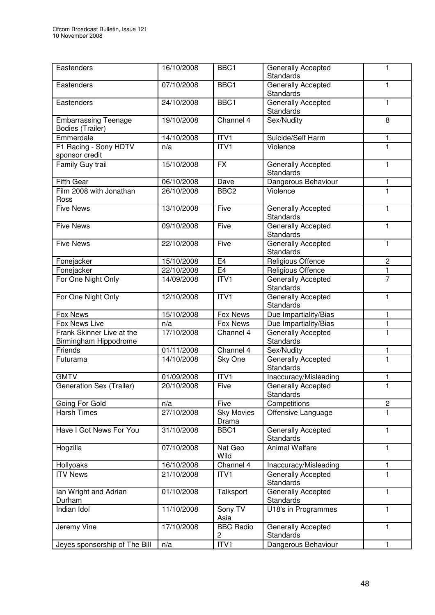| Eastenders                                         | 16/10/2008 | BBC1                       | Generally Accepted<br>Standards               | 1                       |
|----------------------------------------------------|------------|----------------------------|-----------------------------------------------|-------------------------|
| Eastenders                                         | 07/10/2008 | BBC1                       | <b>Generally Accepted</b><br><b>Standards</b> | 1                       |
| Eastenders                                         | 24/10/2008 | BBC1                       | Generally Accepted<br><b>Standards</b>        | $\mathbf{1}$            |
| <b>Embarrassing Teenage</b><br>Bodies (Trailer)    | 19/10/2008 | Channel 4                  | Sex/Nudity                                    | 8                       |
| Emmerdale                                          | 14/10/2008 | ITVI                       | Suicide/Self Harm                             | 1                       |
| F1 Racing - Sony HDTV<br>sponsor credit            | n/a        | ITVI                       | Violence                                      | 1                       |
| Family Guy trail                                   | 15/10/2008 | <b>FX</b>                  | Generally Accepted<br>Standards               | 1                       |
| <b>Fifth Gear</b>                                  | 06/10/2008 | Dave                       | Dangerous Behaviour                           | 1                       |
| Film 2008 with Jonathan<br>Ross                    | 26/10/2008 | BBC <sub>2</sub>           | Violence                                      | 1                       |
| <b>Five News</b>                                   | 13/10/2008 | Five                       | Generally Accepted<br>Standards               | 1                       |
| <b>Five News</b>                                   | 09/10/2008 | Five                       | Generally Accepted<br>Standards               | $\mathbf{1}$            |
| <b>Five News</b>                                   | 22/10/2008 | Five                       | Generally Accepted<br>Standards               | $\mathbf{1}$            |
| Fonejacker                                         | 15/10/2008 | E <sub>4</sub>             | Religious Offence                             | $\overline{c}$          |
| Fonejacker                                         | 22/10/2008 | E4                         | Religious Offence                             | 1                       |
| For One Night Only                                 | 14/09/2008 | ITV1                       | Generally Accepted<br>Standards               | $\overline{7}$          |
| For One Night Only                                 | 12/10/2008 | ITV1                       | Generally Accepted<br>Standards               | 1                       |
| Fox News                                           | 15/10/2008 | Fox News                   | Due Impartiality/Bias                         | 1                       |
| Fox News Live                                      | n/a        | <b>Fox News</b>            | Due Impartiality/Bias                         | $\mathbf{1}$            |
| Frank Skinner Live at the<br>Birmingham Hippodrome | 17/10/2008 | Channel 4                  | Generally Accepted<br>Standards               | 1                       |
| Friends                                            | 01/11/2008 | Channel 4                  | Sex/Nudity                                    | 1                       |
| Futurama                                           | 14/10/2008 | Sky One                    | Generally Accepted<br>Standards               | 1                       |
| <b>GMTV</b>                                        | 01/09/2008 | ITV1                       | Inaccuracy/Misleading                         | 1                       |
| Generation Sex (Trailer)                           | 20/10/2008 | Five                       | Generally Accepted<br>Standards               | 1                       |
| Going For Gold                                     | n/a        | Five                       | Competitions                                  | $\overline{\mathbf{c}}$ |
| <b>Harsh Times</b>                                 | 27/10/2008 | <b>Sky Movies</b><br>Drama | Offensive Language                            | 1.                      |
| Have I Got News For You                            | 31/10/2008 | BBC1                       | Generally Accepted<br>Standards               | $\mathbf{1}$            |
| Hogzilla                                           | 07/10/2008 | Nat Geo<br>Wild            | <b>Animal Welfare</b>                         | $\mathbf{1}$            |
| Hollyoaks                                          | 16/10/2008 | Channel 4                  | Inaccuracy/Misleading                         | 1                       |
| <b>ITV News</b>                                    | 21/10/2008 | ITV1                       | <b>Generally Accepted</b><br>Standards        | 1                       |
| Ian Wright and Adrian<br>Durham                    | 01/10/2008 | Talksport                  | Generally Accepted<br>Standards               | 1                       |
| Indian Idol                                        | 11/10/2008 | Sony TV<br>Asia            | U18's in Programmes                           | 1                       |
| Jeremy Vine                                        | 17/10/2008 | <b>BBC Radio</b><br>2      | Generally Accepted<br>Standards               | 1                       |
| Jeyes sponsorship of The Bill                      | n/a        | ITV1                       | Dangerous Behaviour                           | 1                       |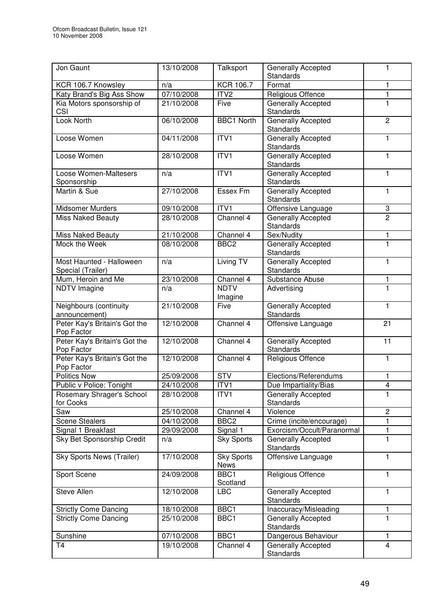| Jon Gaunt                                     | 13/10/2008 | Talksport                        | Generally Accepted<br><b>Standards</b>        | $\mathbf{1}$   |
|-----------------------------------------------|------------|----------------------------------|-----------------------------------------------|----------------|
| KCR 106.7 Knowsley                            | n/a        | <b>KCR 106.7</b>                 | Format                                        | 1              |
| Katy Brand's Big Ass Show                     | 07/10/2008 | ITV2                             | Religious Offence                             | $\mathbf{1}$   |
| Kia Motors sponsorship of<br>CSI              | 21/10/2008 | Five                             | Generally Accepted<br>Standards               | 1              |
| Look North                                    | 06/10/2008 | <b>BBC1 North</b>                | Generally Accepted<br>Standards               | $\overline{2}$ |
| Loose Women                                   | 04/11/2008 | $\overline{IV1}$                 | Generally Accepted<br><b>Standards</b>        | 1              |
| Loose Women                                   | 28/10/2008 | ITV1                             | Generally Accepted<br><b>Standards</b>        | 1              |
| Loose Women-Maltesers<br>Sponsorship          | n/a        | ITV1                             | Generally Accepted<br>Standards               | 1              |
| Martin & Sue                                  | 27/10/2008 | Essex Fm                         | Generally Accepted<br>Standards               | 1              |
| Midsomer Murders                              | 09/10/2008 | ITV1                             | Offensive Language                            | 3              |
| <b>Miss Naked Beauty</b>                      | 28/10/2008 | Channel 4                        | Generally Accepted<br><b>Standards</b>        | $\overline{2}$ |
| <b>Miss Naked Beauty</b>                      | 21/10/2008 | Channel 4                        | Sex/Nudity                                    | 1              |
| Mock the Week                                 | 08/10/2008 | BBC <sub>2</sub>                 | Generally Accepted<br><b>Standards</b>        | 1              |
| Most Haunted - Halloween<br>Special (Trailer) | n/a        | Living TV                        | Generally Accepted<br>Standards               | 1              |
| Mum, Heroin and Me                            | 23/10/2008 | Channel 4                        | Substance Abuse                               | 1              |
| <b>NDTV Imagine</b>                           | n/a        | <b>NDTV</b><br>Imagine           | Advertising                                   | 1              |
| Neighbours (continuity<br>announcement)       | 21/10/2008 | Five                             | Generally Accepted<br>Standards               | 1              |
| Peter Kay's Britain's Got the<br>Pop Factor   | 12/10/2008 | Channel 4                        | Offensive Language                            | 21             |
| Peter Kay's Britain's Got the<br>Pop Factor   | 12/10/2008 | Channel 4                        | Generally Accepted<br>Standards               | 11             |
| Peter Kay's Britain's Got the<br>Pop Factor   | 12/10/2008 | Channel 4                        | Religious Offence                             | 1              |
| <b>Politics Now</b>                           | 25/09/2008 | <b>STV</b>                       | Elections/Referendums                         | 1              |
| Public v Police: Tonight                      | 24/10/2008 | ITV1                             | Due Impartiality/Bias                         | $\overline{4}$ |
| Rosemary Shrager's School<br>for Cooks        | 28/10/2008 | ITV1                             | Generally Accepted<br>Standards               | 1              |
| Saw                                           | 25/10/2008 | Channel 4                        | Violence                                      | $\overline{c}$ |
| Scene Stealers                                | 04/10/2008 | BBC <sub>2</sub>                 | Crime (incite/encourage)                      | 1              |
| Signal 1 Breakfast                            | 29/09/2008 | Signal 1                         | Exorcism/Occult/Paranormal                    | 1              |
| Sky Bet Sponsorship Credit                    | n/a        | <b>Sky Sports</b>                | <b>Generally Accepted</b><br><b>Standards</b> | 1              |
| Sky Sports News (Trailer)                     | 17/10/2008 | <b>Sky Sports</b><br><b>News</b> | Offensive Language                            | 1              |
| Sport Scene                                   | 24/09/2008 | BBC1<br>Scotland                 | <b>Religious Offence</b>                      | 1              |
| <b>Steve Allen</b>                            | 12/10/2008 | <b>LBC</b>                       | <b>Generally Accepted</b><br>Standards        | 1              |
| <b>Strictly Come Dancing</b>                  | 18/10/2008 | BBC1                             | Inaccuracy/Misleading                         | 1              |
| <b>Strictly Come Dancing</b>                  | 25/10/2008 | BBC1                             | <b>Generally Accepted</b><br>Standards        | 1              |
| Sunshine                                      | 07/10/2008 | BBC1                             | Dangerous Behaviour                           | 1              |
| <b>T4</b>                                     | 19/10/2008 | Channel 4                        | <b>Generally Accepted</b><br>Standards        | $\overline{4}$ |